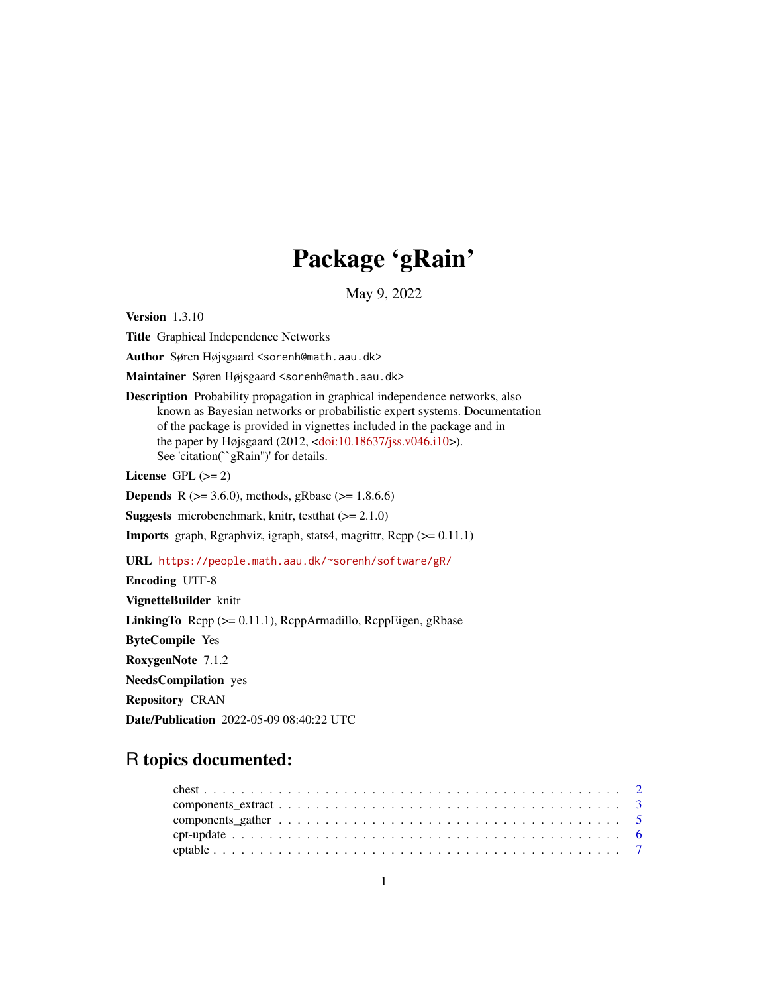## Package 'gRain'

May 9, 2022

<span id="page-0-0"></span>Version 1.3.10

Title Graphical Independence Networks

Author Søren Højsgaard <sorenh@math.aau.dk>

Maintainer Søren Højsgaard <sorenh@math.aau.dk>

Description Probability propagation in graphical independence networks, also known as Bayesian networks or probabilistic expert systems. Documentation of the package is provided in vignettes included in the package and in the paper by Højsgaard (2012, [<doi:10.18637/jss.v046.i10>](https://doi.org/10.18637/jss.v046.i10)). See 'citation("gRain")' for details.

License GPL  $(>= 2)$ 

**Depends** R ( $>= 3.6.0$ ), methods, gRbase ( $>= 1.8.6.6$ )

**Suggests** microbenchmark, knitr, test that  $(>= 2.1.0)$ 

Imports graph, Rgraphviz, igraph, stats4, magrittr, Rcpp (>= 0.11.1)

URL <https://people.math.aau.dk/~sorenh/software/gR/>

Encoding UTF-8

VignetteBuilder knitr

LinkingTo Rcpp (>= 0.11.1), RcppArmadillo, RcppEigen, gRbase

ByteCompile Yes

RoxygenNote 7.1.2

NeedsCompilation yes

Repository CRAN

Date/Publication 2022-05-09 08:40:22 UTC

## R topics documented:

| $\text{cpt-update}\dots\dots\dots\dots\dots\dots\dots\dots\dots\dots\dots\dots\dots\dots\dots\dots\dots\dots$ |  |  |  |  |  |  |  |  |  |  |  |  |  |  |  |  |  |  |
|---------------------------------------------------------------------------------------------------------------|--|--|--|--|--|--|--|--|--|--|--|--|--|--|--|--|--|--|
|                                                                                                               |  |  |  |  |  |  |  |  |  |  |  |  |  |  |  |  |  |  |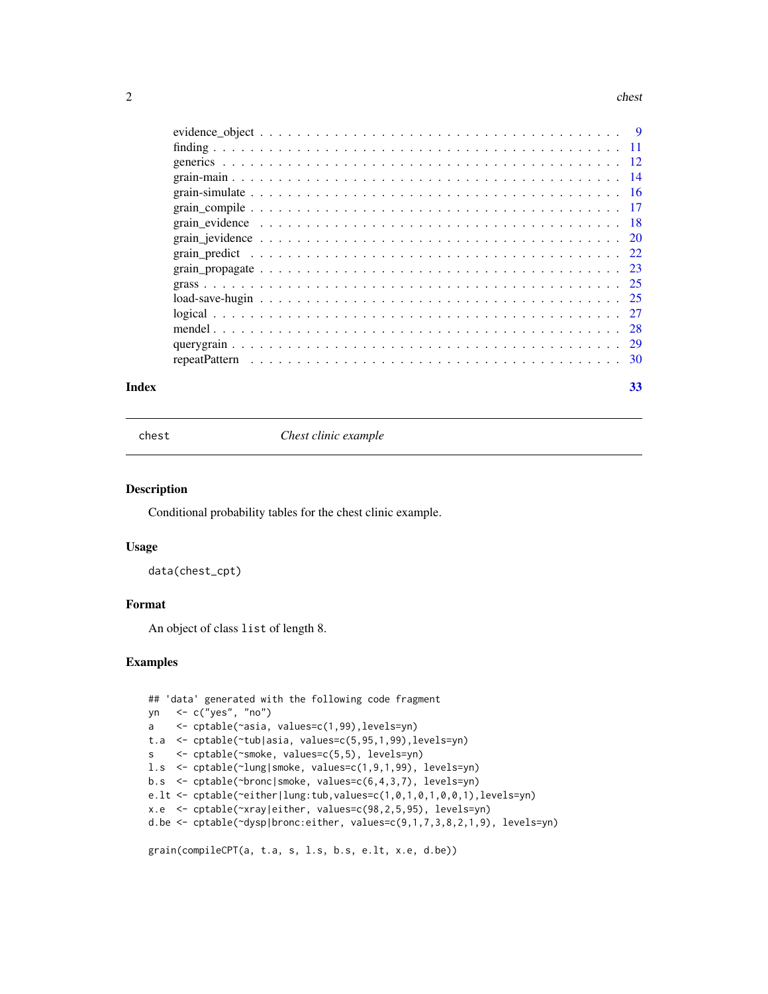#### <span id="page-1-0"></span> $2 \cos \theta$  chest  $\cos \theta$  chest  $\cos \theta$  chest  $\cos \theta$

## **Index** [33](#page-32-0)

chest *Chest clinic example*

## Description

Conditional probability tables for the chest clinic example.

#### Usage

data(chest\_cpt)

#### Format

An object of class list of length 8.

```
## 'data' generated with the following code fragment
yn <- c("yes", "no")
a <- cptable(~asia, values=c(1,99),levels=yn)
t.a <- cptable(~tub|asia, values=c(5,95,1,99),levels=yn)
s <- cptable(~smoke, values=c(5,5), levels=yn)
l.s <- cptable(~lung|smoke, values=c(1,9,1,99), levels=yn)
b.s <- cptable(~bronc|smoke, values=c(6,4,3,7), levels=yn)
e.lt <- cptable(~either|lung:tub,values=c(1,0,1,0,1,0,0,1),levels=yn)
x.e <- cptable(~xray|either, values=c(98,2,5,95), levels=yn)
d.be <- cptable(~dysp|bronc:either, values=c(9,1,7,3,8,2,1,9), levels=yn)
grain(compileCPT(a, t.a, s, l.s, b.s, e.lt, x.e, d.be))
```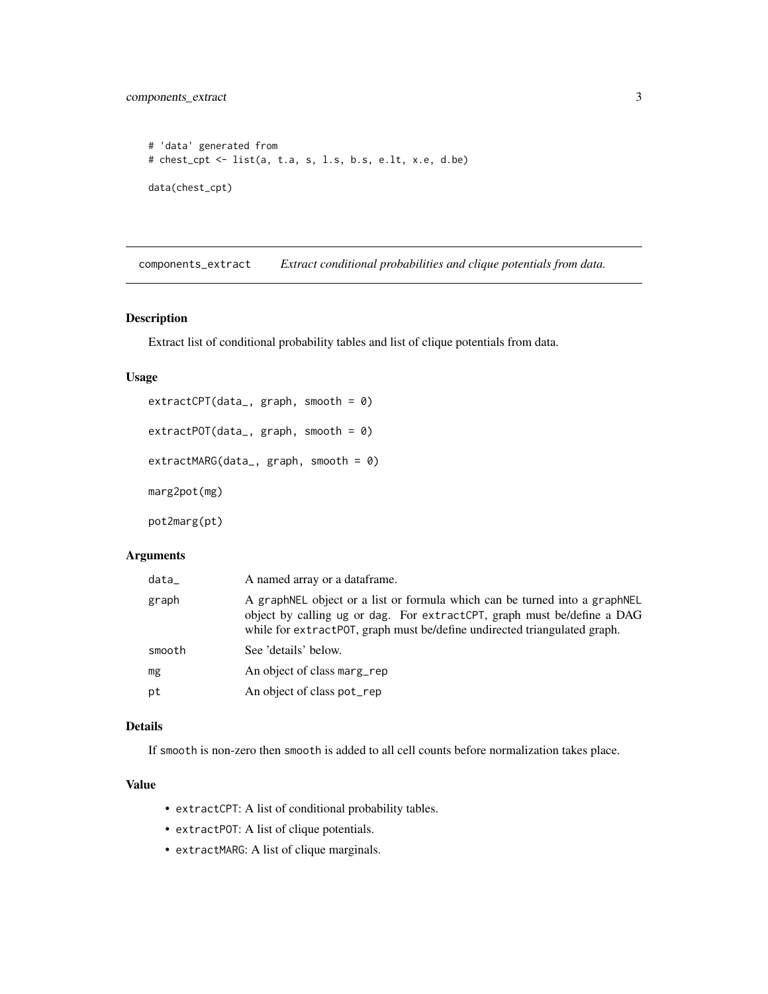```
# 'data' generated from
# chest_cpt <- list(a, t.a, s, l.s, b.s, e.lt, x.e, d.be)
data(chest_cpt)
```
components\_extract *Extract conditional probabilities and clique potentials from data.*

## <span id="page-2-1"></span>Description

Extract list of conditional probability tables and list of clique potentials from data.

## Usage

```
extractCPT(data_, graph, smooth = 0)
extractPOT(data_, graph, smooth = 0)
extractMARG(data_, graph, smooth = 0)
marg2pot(mg)
pot2marg(pt)
```
## Arguments

| data   | A named array or a data frame.                                                                                                                                                                                                      |
|--------|-------------------------------------------------------------------------------------------------------------------------------------------------------------------------------------------------------------------------------------|
| graph  | A graphNEL object or a list or formula which can be turned into a graphNEL<br>object by calling ug or dag. For extract CPT, graph must be/define a DAG<br>while for extractPOT, graph must be/define undirected triangulated graph. |
| smooth | See 'details' below.                                                                                                                                                                                                                |
| mg     | An object of class marg rep                                                                                                                                                                                                         |
| pt     | An object of class pot_rep                                                                                                                                                                                                          |

## Details

If smooth is non-zero then smooth is added to all cell counts before normalization takes place.

#### Value

- extractCPT: A list of conditional probability tables.
- extractPOT: A list of clique potentials.
- extractMARG: A list of clique marginals.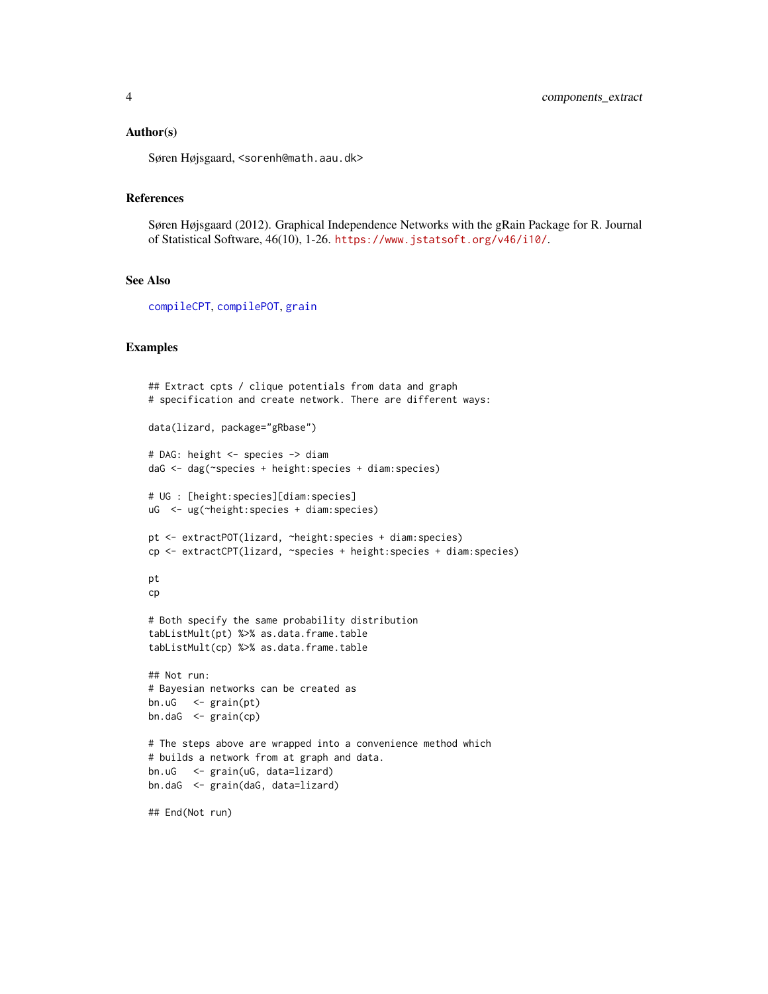#### <span id="page-3-0"></span>Author(s)

Søren Højsgaard, <sorenh@math.aau.dk>

#### References

Søren Højsgaard (2012). Graphical Independence Networks with the gRain Package for R. Journal of Statistical Software, 46(10), 1-26. <https://www.jstatsoft.org/v46/i10/>.

#### See Also

[compileCPT](#page-4-1), [compilePOT](#page-4-1), [grain](#page-13-1)

```
## Extract cpts / clique potentials from data and graph
# specification and create network. There are different ways:
data(lizard, package="gRbase")
# DAG: height <- species -> diam
daG <- dag(~species + height:species + diam:species)
# UG : [height:species][diam:species]
uG <- ug(~height:species + diam:species)
pt <- extractPOT(lizard, ~height:species + diam:species)
cp <- extractCPT(lizard, ~species + height:species + diam:species)
pt
cp
# Both specify the same probability distribution
tabListMult(pt) %>% as.data.frame.table
tabListMult(cp) %>% as.data.frame.table
## Not run:
# Bayesian networks can be created as
bn.uG <- grain(pt)
bn.daG <- grain(cp)
# The steps above are wrapped into a convenience method which
# builds a network from at graph and data.
bn.uG <- grain(uG, data=lizard)
bn.daG <- grain(daG, data=lizard)
## End(Not run)
```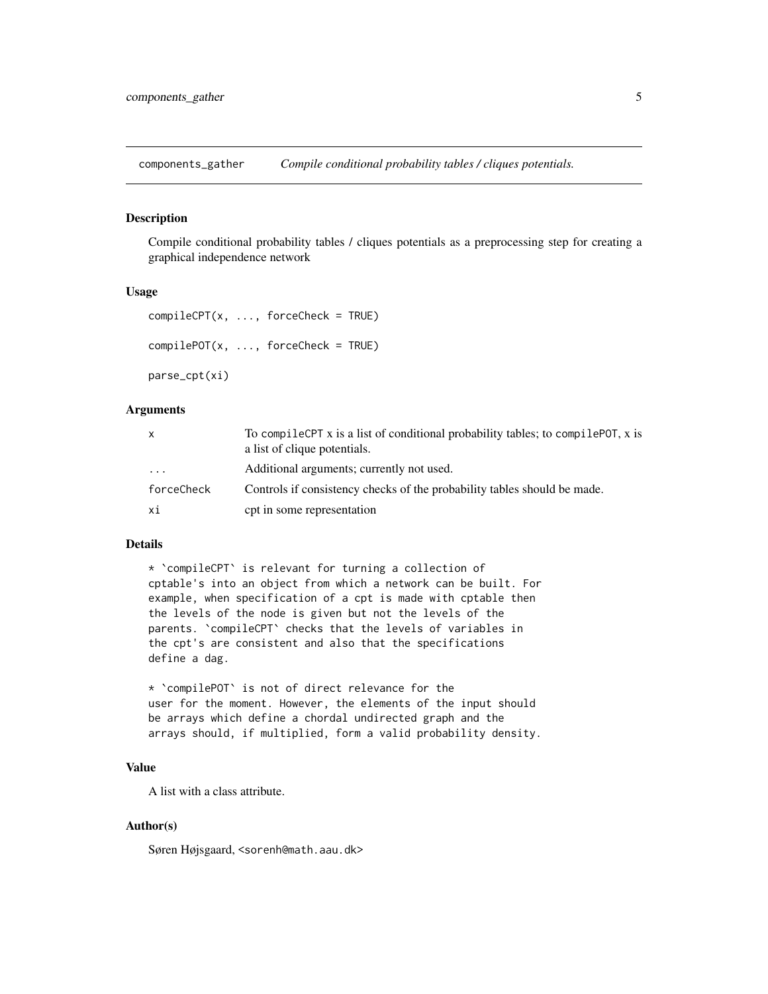<span id="page-4-0"></span>components\_gather *Compile conditional probability tables / cliques potentials.*

#### <span id="page-4-1"></span>Description

Compile conditional probability tables / cliques potentials as a preprocessing step for creating a graphical independence network

#### Usage

```
completeP T(x, ..., forceCheck = TRUE)compilePOT(x, ..., forceCheck = TRUE)parse_cpt(xi)
```
#### Arguments

| x                       | To compile CPT x is a list of conditional probability tables; to compile POT, x is<br>a list of clique potentials. |
|-------------------------|--------------------------------------------------------------------------------------------------------------------|
| $\cdot$ $\cdot$ $\cdot$ | Additional arguments; currently not used.                                                                          |
| forceCheck              | Controls if consistency checks of the probability tables should be made.                                           |
| хi                      | cpt in some representation                                                                                         |

## Details

\* `compileCPT` is relevant for turning a collection of cptable's into an object from which a network can be built. For example, when specification of a cpt is made with cptable then the levels of the node is given but not the levels of the parents. `compileCPT` checks that the levels of variables in the cpt's are consistent and also that the specifications define a dag.

\* `compilePOT` is not of direct relevance for the user for the moment. However, the elements of the input should be arrays which define a chordal undirected graph and the arrays should, if multiplied, form a valid probability density.

## Value

A list with a class attribute.

### Author(s)

Søren Højsgaard, <sorenh@math.aau.dk>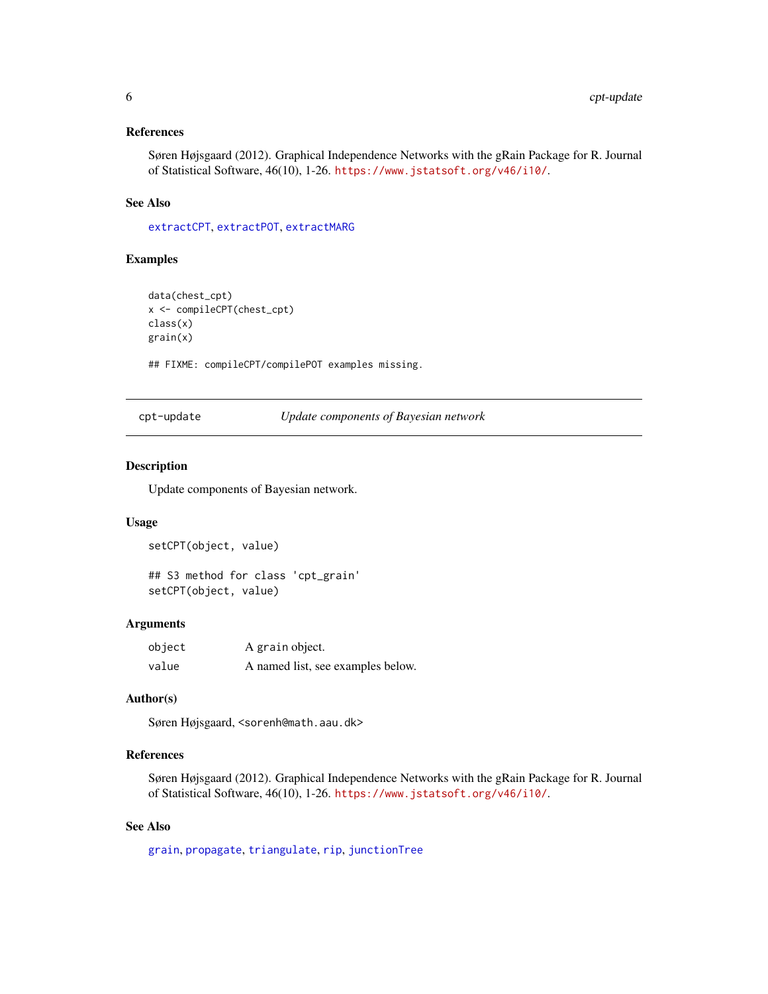## <span id="page-5-0"></span>References

Søren Højsgaard (2012). Graphical Independence Networks with the gRain Package for R. Journal of Statistical Software, 46(10), 1-26. <https://www.jstatsoft.org/v46/i10/>.

## See Also

[extractCPT](#page-2-1), [extractPOT](#page-2-1), [extractMARG](#page-2-1)

## Examples

```
data(chest_cpt)
x <- compileCPT(chest_cpt)
class(x)
grain(x)
```
## FIXME: compileCPT/compilePOT examples missing.

cpt-update *Update components of Bayesian network*

## Description

Update components of Bayesian network.

#### Usage

setCPT(object, value)

```
## S3 method for class 'cpt_grain'
setCPT(object, value)
```
#### Arguments

| object | A grain object.                   |
|--------|-----------------------------------|
| value  | A named list, see examples below. |

#### Author(s)

Søren Højsgaard, <sorenh@math.aau.dk>

#### References

Søren Højsgaard (2012). Graphical Independence Networks with the gRain Package for R. Journal of Statistical Software, 46(10), 1-26. <https://www.jstatsoft.org/v46/i10/>.

## See Also

[grain](#page-13-1), [propagate](#page-0-0), [triangulate](#page-0-0), [rip](#page-0-0), [junctionTree](#page-0-0)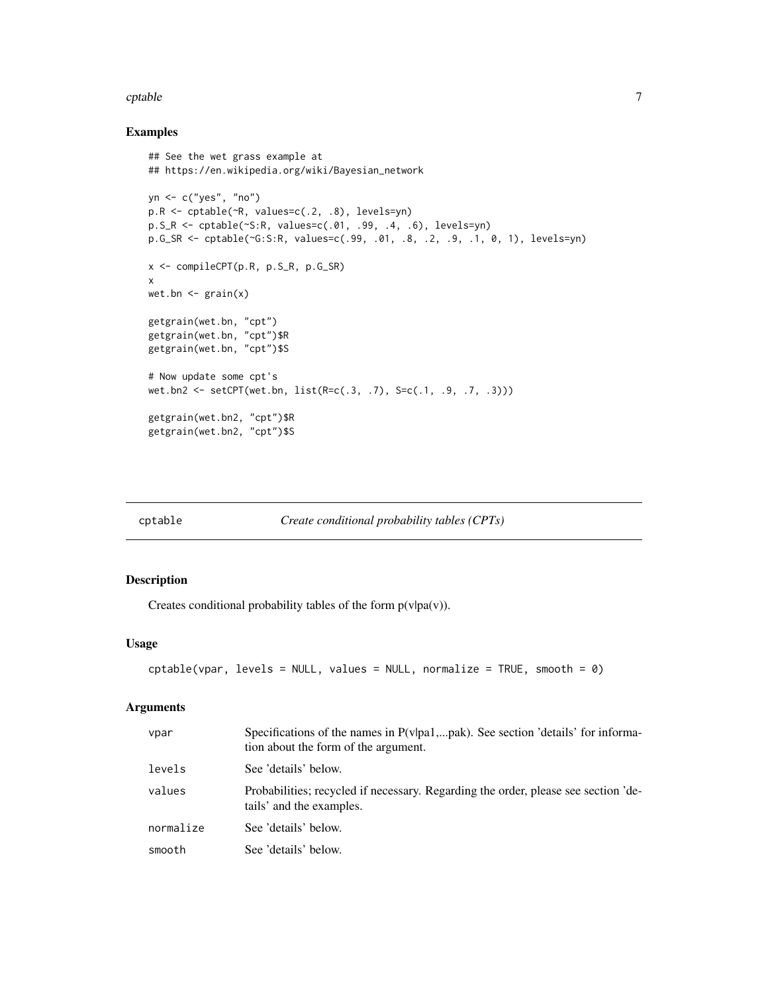#### <span id="page-6-0"></span>cptable  $\overline{7}$

## Examples

```
## See the wet grass example at
## https://en.wikipedia.org/wiki/Bayesian_network
yn <- c("yes", "no")
p.R <- cptable(~R, values=c(.2, .8), levels=yn)
p.S_R <- cptable(~S:R, values=c(.01, .99, .4, .6), levels=yn)
p.G_SR <- cptable(~G:S:R, values=c(.99, .01, .8, .2, .9, .1, 0, 1), levels=yn)
x <- compileCPT(p.R, p.S_R, p.G_SR)
x
wet.bn \leq grain(x)
getgrain(wet.bn, "cpt")
getgrain(wet.bn, "cpt")$R
getgrain(wet.bn, "cpt")$S
# Now update some cpt's
wet.bn2 <- setCPT(wet.bn, list(R=c(.3, .7), S=c(.1, .9, .7, .3)))
getgrain(wet.bn2, "cpt")$R
getgrain(wet.bn2, "cpt")$S
```
<span id="page-6-1"></span>

| ∵ptable |
|---------|
|---------|

*Create conditional probability tables (CPTs)* 

## Description

Creates conditional probability tables of the form  $p(v|pa(v))$ .

## Usage

```
cptable(vpar, levels = NULL, values = NULL, normalize = TRUE, smooth = 0)
```
#### Arguments

| vpar      | Specifications of the names in $P(v pa1,pak)$ . See section 'details' for informa-<br>tion about the form of the argument. |
|-----------|----------------------------------------------------------------------------------------------------------------------------|
| levels    | See 'details' below.                                                                                                       |
| values    | Probabilities; recycled if necessary. Regarding the order, please see section 'de-<br>tails' and the examples.             |
| normalize | See 'details' below.                                                                                                       |
| smooth    | See 'details' below.                                                                                                       |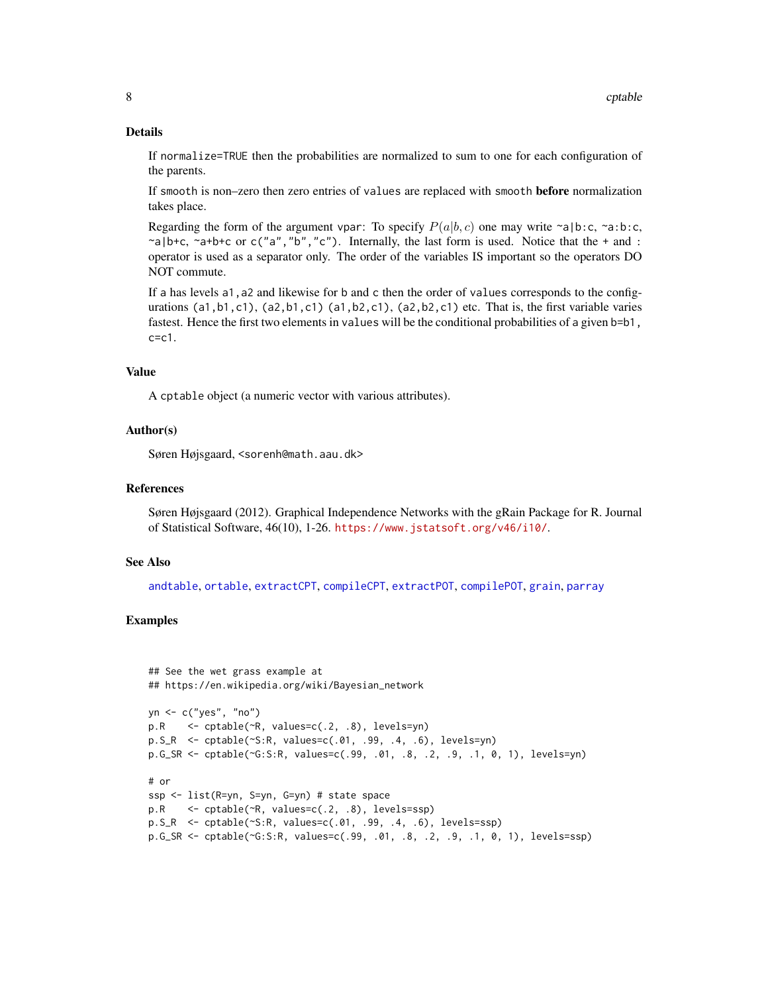## Details

If normalize=TRUE then the probabilities are normalized to sum to one for each configuration of the parents.

If smooth is non–zero then zero entries of values are replaced with smooth **before** normalization takes place.

Regarding the form of the argument vpar: To specify  $P(a|b, c)$  one may write ~a|b:c, ~a:b:c,  $\alpha$ |b+c,  $\alpha$ a+b+c or c("a", "b", "c"). Internally, the last form is used. Notice that the + and : operator is used as a separator only. The order of the variables IS important so the operators DO NOT commute.

If a has levels a1, a2 and likewise for b and c then the order of values corresponds to the configurations (a1,b1,c1), (a2,b1,c1) (a1,b2,c1), (a2,b2,c1) etc. That is, the first variable varies fastest. Hence the first two elements in values will be the conditional probabilities of a given b=b1,  $c = c1$ .

## Value

A cptable object (a numeric vector with various attributes).

#### Author(s)

Søren Højsgaard, <sorenh@math.aau.dk>

## References

Søren Højsgaard (2012). Graphical Independence Networks with the gRain Package for R. Journal of Statistical Software, 46(10), 1-26. <https://www.jstatsoft.org/v46/i10/>.

#### See Also

[andtable](#page-26-1), [ortable](#page-26-1), [extractCPT](#page-2-1), [compileCPT](#page-4-1), [extractPOT](#page-2-1), [compilePOT](#page-4-1), [grain](#page-13-1), [parray](#page-0-0)

```
## See the wet grass example at
## https://en.wikipedia.org/wiki/Bayesian_network
yn <- c("yes", "no")
p.R <- cptable(~R, values=c(.2, .8), levels=yn)
p.S_R <- cptable(~S:R, values=c(.01, .99, .4, .6), levels=yn)
p.G_SR <- cptable(~G:S:R, values=c(.99, .01, .8, .2, .9, .1, 0, 1), levels=yn)
# or
ssp <- list(R=yn, S=yn, G=yn) # state space
p.R <- cptable(~R, values=c(.2, .8), levels=ssp)
p.S_R <- cptable(~S:R, values=c(.01, .99, .4, .6), levels=ssp)
p.G_SR <- cptable(~G:S:R, values=c(.99, .01, .8, .2, .9, .1, 0, 1), levels=ssp)
```
<span id="page-7-0"></span>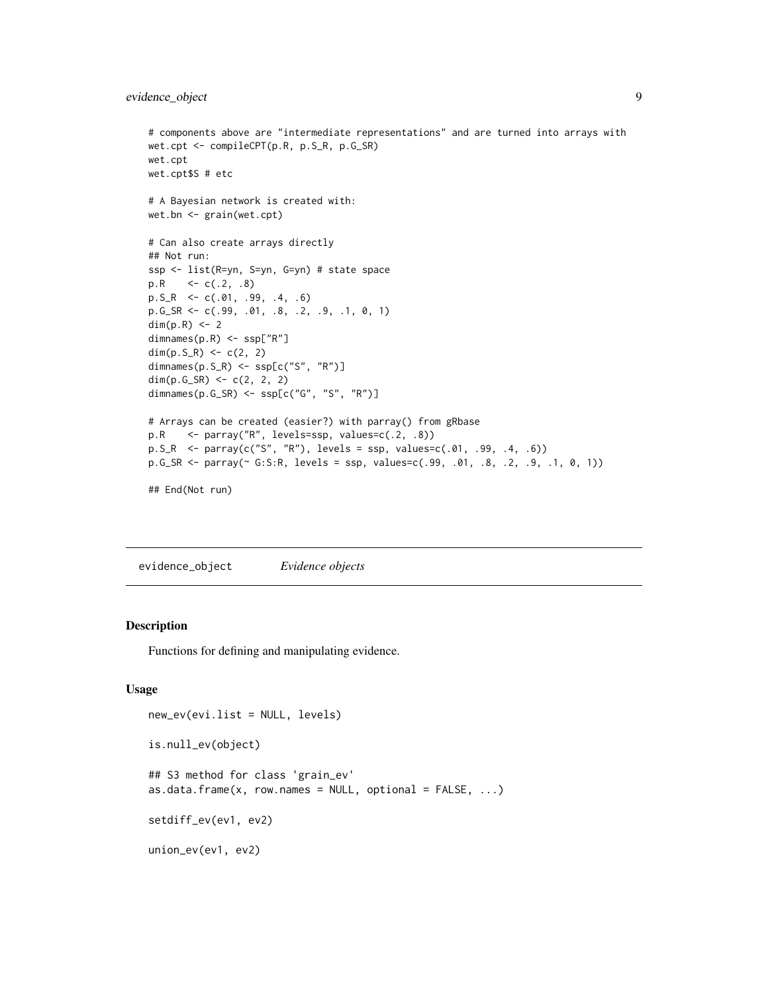```
# components above are "intermediate representations" and are turned into arrays with
wet.cpt <- compileCPT(p.R, p.S_R, p.G_SR)
wet.cpt
wet.cpt$S # etc
# A Bayesian network is created with:
wet.bn <- grain(wet.cpt)
# Can also create arrays directly
## Not run:
ssp <- list(R=yn, S=yn, G=yn) # state space
p.R <- c(.2, .8)p.S_R \leq c(.01, .99, .4, .6)p.G_SR <- c(.99, .01, .8, .2, .9, .1, 0, 1)
dim(p.R) <- 2
dimnames(p.R) <- ssp["R"]
dim(p.S_R) <- c(2, 2)dimnames(p.S_R) <- ssp[c("S", "R")]
dim(p.G_SR) \leq c(2, 2, 2)dimnames(p.G_SR) <- ssp[c("G", "S", "R")]
# Arrays can be created (easier?) with parray() from gRbase
p.R <- parray("R", levels=ssp, values=c(.2, .8))
p.S_R <- parray(c("S", "R"), levels = ssp, values=c(.01, .99, .4, .6))
p.G_SR <- parray(~ G:S:R, levels = ssp, values=c(.99, .01, .8, .2, .9, .1, 0, 1))
```

```
## End(Not run)
```
evidence\_object *Evidence objects*

#### **Description**

Functions for defining and manipulating evidence.

#### Usage

```
new_ev(evi.list = NULL, levels)
is.null_ev(object)
## S3 method for class 'grain_ev'
as.data.frame(x, row.names = NULL, optional = FALSE, ...)
setdiff_ev(ev1, ev2)
union_ev(ev1, ev2)
```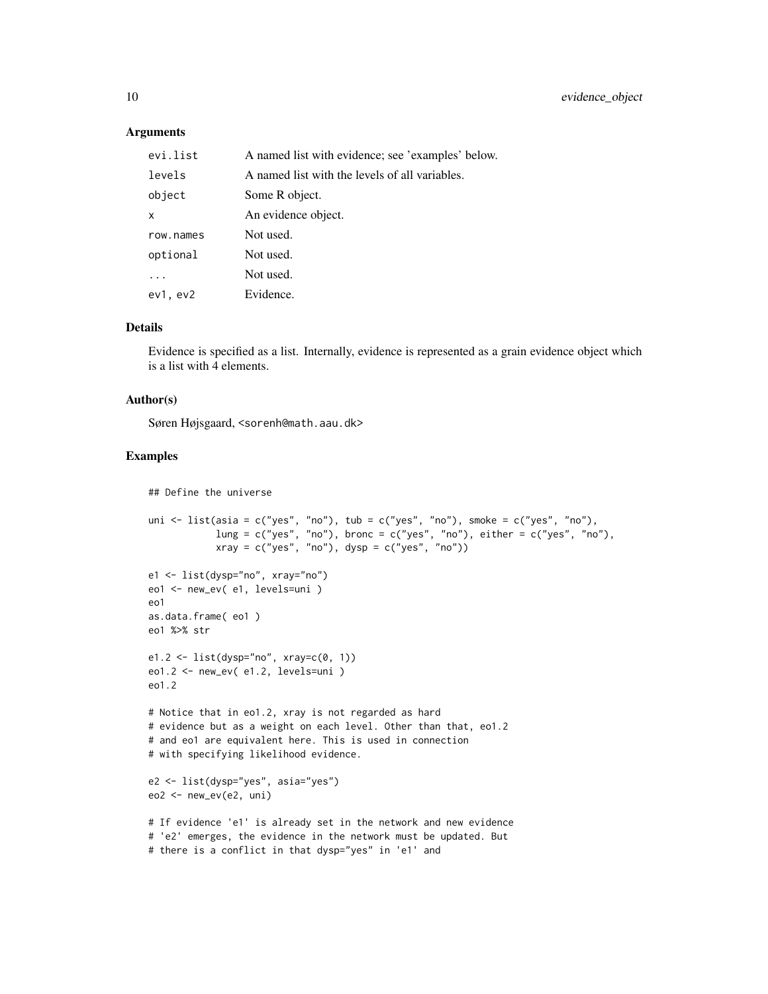#### Arguments

| evi.list  | A named list with evidence; see 'examples' below. |
|-----------|---------------------------------------------------|
| levels    | A named list with the levels of all variables.    |
| object    | Some R object.                                    |
| x         | An evidence object.                               |
| row.names | Not used.                                         |
| optional  | Not used.                                         |
|           | Not used.                                         |
| ev1, ev2  | Evidence.                                         |

#### Details

Evidence is specified as a list. Internally, evidence is represented as a grain evidence object which is a list with 4 elements.

## Author(s)

Søren Højsgaard, <sorenh@math.aau.dk>

```
## Define the universe
```

```
uni \le list(asia = c("yes", "no"), tub = c("yes", "no"), smoke = c("yes", "no"),
            lung = c("yes", "no"), bronc = c("yes", "no"), either = <math>c("yes", "no")</math>,xray = c("yes", "no"), dysp = c("yes", "no")e1 <- list(dysp="no", xray="no")
eo1 <- new_ev( e1, levels=uni )
eo1
as.data.frame( eo1 )
eo1 %>% str
e1.2 <- list(dysp="no", xray=c(0, 1))
eo1.2 <- new_ev( e1.2, levels=uni )
eo1.2
# Notice that in eo1.2, xray is not regarded as hard
# evidence but as a weight on each level. Other than that, eo1.2
# and eo1 are equivalent here. This is used in connection
# with specifying likelihood evidence.
e2 <- list(dysp="yes", asia="yes")
eo2 <- new_ev(e2, uni)
# If evidence 'e1' is already set in the network and new evidence
# 'e2' emerges, the evidence in the network must be updated. But
# there is a conflict in that dysp="yes" in 'e1' and
```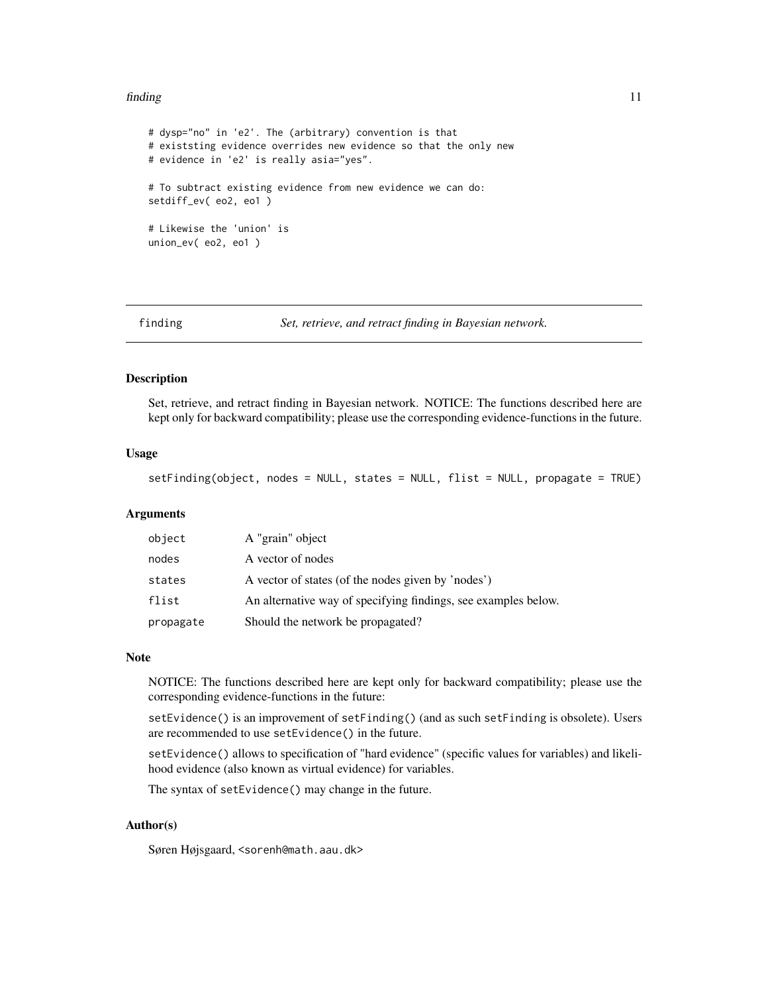#### <span id="page-10-0"></span>finding the contract of the contract of the contract of the contract of the contract of the contract of the contract of the contract of the contract of the contract of the contract of the contract of the contract of the co

```
# dysp="no" in 'e2'. The (arbitrary) convention is that
# existsting evidence overrides new evidence so that the only new
# evidence in 'e2' is really asia="yes".
# To subtract existing evidence from new evidence we can do:
setdiff_ev( eo2, eo1 )
# Likewise the 'union' is
union_ev( eo2, eo1 )
```
finding *Set, retrieve, and retract finding in Bayesian network.*

## <span id="page-10-1"></span>**Description**

Set, retrieve, and retract finding in Bayesian network. NOTICE: The functions described here are kept only for backward compatibility; please use the corresponding evidence-functions in the future.

### Usage

setFinding(object, nodes = NULL, states = NULL, flist = NULL, propagate = TRUE)

#### Arguments

| object    | A "grain" object                                               |
|-----------|----------------------------------------------------------------|
| nodes     | A vector of nodes                                              |
| states    | A vector of states (of the nodes given by 'nodes')             |
| flist     | An alternative way of specifying findings, see examples below. |
| propagate | Should the network be propagated?                              |

## Note

NOTICE: The functions described here are kept only for backward compatibility; please use the corresponding evidence-functions in the future:

setEvidence() is an improvement of setFinding() (and as such setFinding is obsolete). Users are recommended to use setEvidence() in the future.

setEvidence() allows to specification of "hard evidence" (specific values for variables) and likelihood evidence (also known as virtual evidence) for variables.

The syntax of setEvidence() may change in the future.

## Author(s)

Søren Højsgaard, <sorenh@math.aau.dk>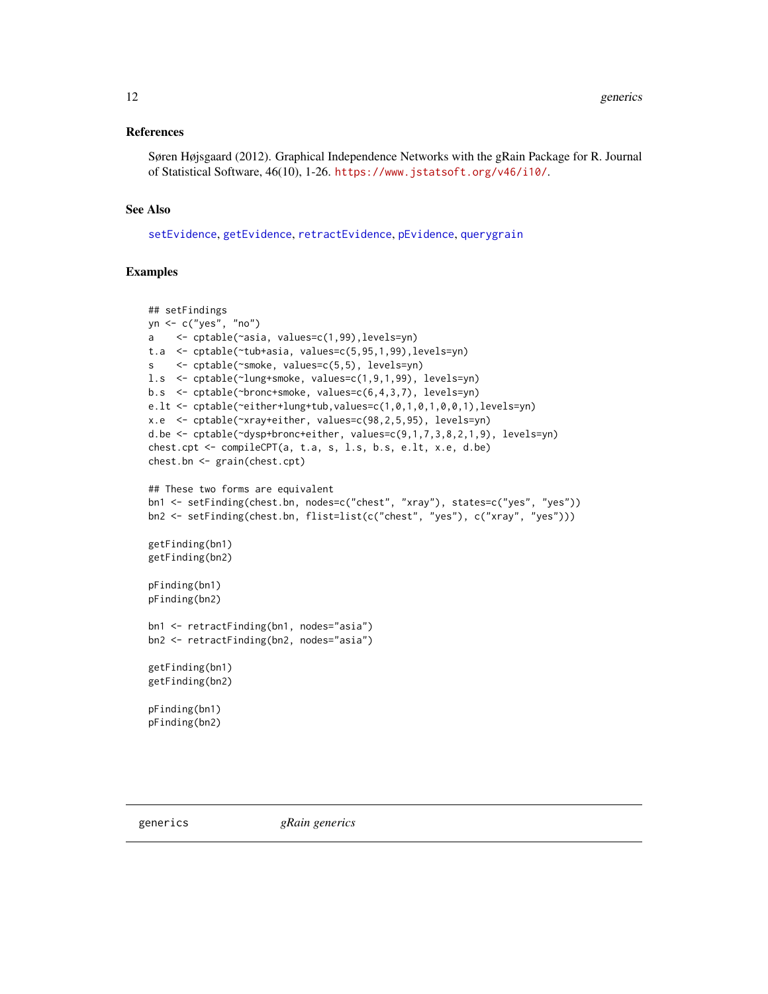#### <span id="page-11-0"></span>References

Søren Højsgaard (2012). Graphical Independence Networks with the gRain Package for R. Journal of Statistical Software, 46(10), 1-26. <https://www.jstatsoft.org/v46/i10/>.

## See Also

[setEvidence](#page-17-1), [getEvidence](#page-17-1), [retractEvidence](#page-17-1), [pEvidence](#page-17-1), [querygrain](#page-28-1)

```
## setFindings
yn <- c("yes", "no")
a <- cptable(~asia, values=c(1,99),levels=yn)
t.a <- cptable(~tub+asia, values=c(5,95,1,99),levels=yn)
s <- cptable(~smoke, values=c(5,5), levels=yn)
l.s <- cptable(~lung+smoke, values=c(1,9,1,99), levels=yn)
b.s <- cptable(~bronc+smoke, values=c(6,4,3,7), levels=yn)
e.lt <- cptable(~either+lung+tub,values=c(1,0,1,0,1,0,0,1),levels=yn)
x.e <- cptable(~xray+either, values=c(98,2,5,95), levels=yn)
d.be <- cptable(~dysp+bronc+either, values=c(9,1,7,3,8,2,1,9), levels=yn)
chest.cpt <- compileCPT(a, t.a, s, l.s, b.s, e.lt, x.e, d.be)
chest.bn <- grain(chest.cpt)
## These two forms are equivalent
bn1 <- setFinding(chest.bn, nodes=c("chest", "xray"), states=c("yes", "yes"))
bn2 <- setFinding(chest.bn, flist=list(c("chest", "yes"), c("xray", "yes")))
getFinding(bn1)
getFinding(bn2)
pFinding(bn1)
pFinding(bn2)
bn1 <- retractFinding(bn1, nodes="asia")
bn2 <- retractFinding(bn2, nodes="asia")
getFinding(bn1)
getFinding(bn2)
pFinding(bn1)
pFinding(bn2)
```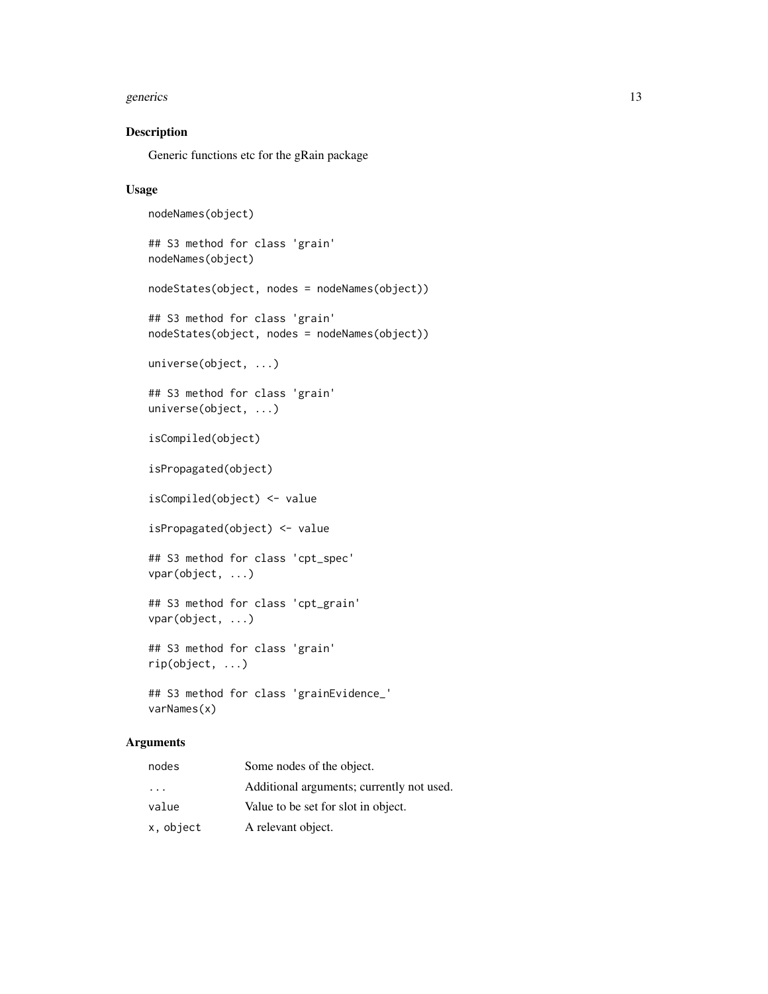#### generics and the set of the set of the set of the set of the set of the set of the set of the set of the set of the set of the set of the set of the set of the set of the set of the set of the set of the set of the set of

## Description

Generic functions etc for the gRain package

## Usage

```
nodeNames(object)
## S3 method for class 'grain'
nodeNames(object)
nodeStates(object, nodes = nodeNames(object))
## S3 method for class 'grain'
nodeStates(object, nodes = nodeNames(object))
universe(object, ...)
## S3 method for class 'grain'
universe(object, ...)
isCompiled(object)
isPropagated(object)
isCompiled(object) <- value
isPropagated(object) <- value
## S3 method for class 'cpt_spec'
vpar(object, ...)
## S3 method for class 'cpt_grain'
vpar(object, ...)
## S3 method for class 'grain'
rip(object, ...)
## S3 method for class 'grainEvidence_'
varNames(x)
```
## Arguments

| nodes                   | Some nodes of the object.                 |
|-------------------------|-------------------------------------------|
| $\cdot$ $\cdot$ $\cdot$ | Additional arguments; currently not used. |
| value                   | Value to be set for slot in object.       |
| x, object               | A relevant object.                        |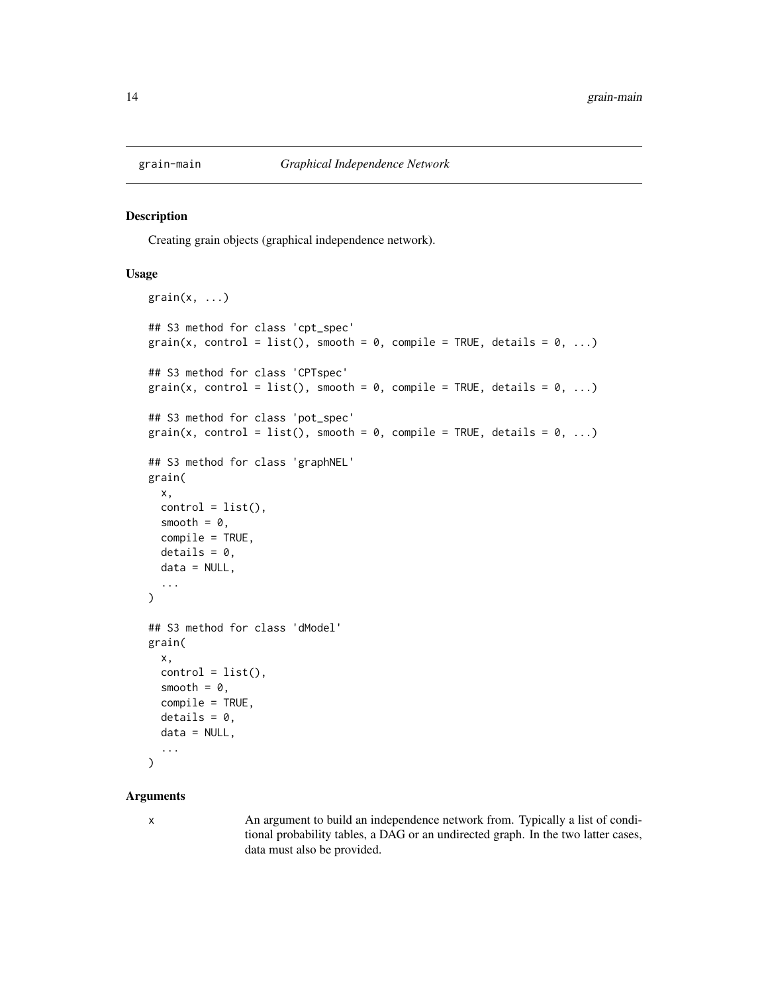<span id="page-13-0"></span>

#### <span id="page-13-1"></span>Description

Creating grain objects (graphical independence network).

## Usage

```
grain(x, \ldots)## S3 method for class 'cpt_spec'
grain(x, control = list(), smooth = 0, compile = TRUE, details = 0, ...)## S3 method for class 'CPTspec'
grain(x, control = list(), smooth = 0, compile = TRUE, details = 0, ...)## S3 method for class 'pot_spec'
grain(x, control = list(), smooth = 0, compile = TRUE, details = 0, ...)
## S3 method for class 'graphNEL'
grain(
  x,
  control = list(),
  smooth = 0,
  compile = TRUE,
  details = 0,data = NULL,
  ...
)
## S3 method for class 'dModel'
grain(
  x,
  control = list(),smooth = 0,
  compile = TRUE,
  details = 0,data = NULL,...
\lambda
```
## Arguments

x An argument to build an independence network from. Typically a list of conditional probability tables, a DAG or an undirected graph. In the two latter cases, data must also be provided.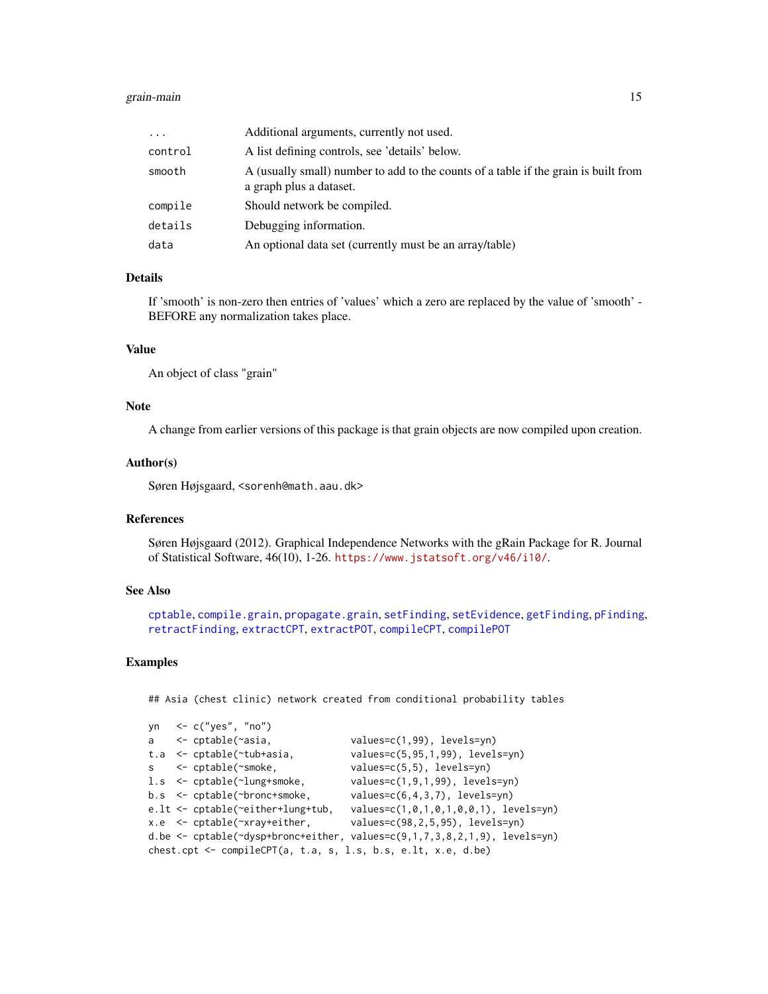#### <span id="page-14-0"></span>grain-main 15

| $\cdots$ | Additional arguments, currently not used.                                                                      |
|----------|----------------------------------------------------------------------------------------------------------------|
| control  | A list defining controls, see 'details' below.                                                                 |
| smooth   | A (usually small) number to add to the counts of a table if the grain is built from<br>a graph plus a dataset. |
| compile  | Should network be compiled.                                                                                    |
| details  | Debugging information.                                                                                         |
| data     | An optional data set (currently must be an array/table)                                                        |

## Details

If 'smooth' is non-zero then entries of 'values' which a zero are replaced by the value of 'smooth' - BEFORE any normalization takes place.

## Value

An object of class "grain"

## Note

A change from earlier versions of this package is that grain objects are now compiled upon creation.

## Author(s)

Søren Højsgaard, <sorenh@math.aau.dk>

## References

Søren Højsgaard (2012). Graphical Independence Networks with the gRain Package for R. Journal of Statistical Software, 46(10), 1-26. <https://www.jstatsoft.org/v46/i10/>.

## See Also

```
cptablecompile.grainpropagate.grainsetFindingsetEvidencegetFindingpFinding,
retractFinding, extractCPT, extractPOT, compileCPT, compilePOT
```
## Examples

## Asia (chest clinic) network created from conditional probability tables

|                                                                   | yn $\leq$ c("yes", "no")                   |                                                                                      |  |  |  |  |  |
|-------------------------------------------------------------------|--------------------------------------------|--------------------------------------------------------------------------------------|--|--|--|--|--|
|                                                                   |                                            |                                                                                      |  |  |  |  |  |
|                                                                   | a <- cptable(~asia,                        | $values=c(1,99)$ , levels=yn)                                                        |  |  |  |  |  |
|                                                                   | t.a $\leq$ cptable( $\sim$ tub+asia,       | $values=c(5, 95, 1, 99)$ , levels=yn)                                                |  |  |  |  |  |
|                                                                   | $s \le$ - cptable( $\sim$ smoke,           | $values=c(5,5)$ , levels=yn)                                                         |  |  |  |  |  |
|                                                                   | $l.s <$ - cptable( $\text{-}$ lung+smoke,  | $values=c(1,9,1,99)$ , levels=yn)                                                    |  |  |  |  |  |
|                                                                   | $b.s <$ - cptable(~bronc+smoke,            | $values=c(6,4,3,7)$ , levels=yn)                                                     |  |  |  |  |  |
|                                                                   | e.lt $\le$ cptable( $\le$ either+lung+tub, | $values=c(1,0,1,0,1,0,0,1)$ , levels=yn)                                             |  |  |  |  |  |
|                                                                   | $x.e$ <- cptable( $\gamma$ xray+either,    | $values=c(98, 2, 5, 95)$ , levels=yn)                                                |  |  |  |  |  |
|                                                                   |                                            | d.be $\leq$ cptable( $\leq$ dysp+bronc+either, values=c(9,1,7,3,8,2,1,9), levels=yn) |  |  |  |  |  |
| chest.cpt $\leq$ compileCPT(a, t.a, s, l.s, b.s, e.lt, x.e, d.be) |                                            |                                                                                      |  |  |  |  |  |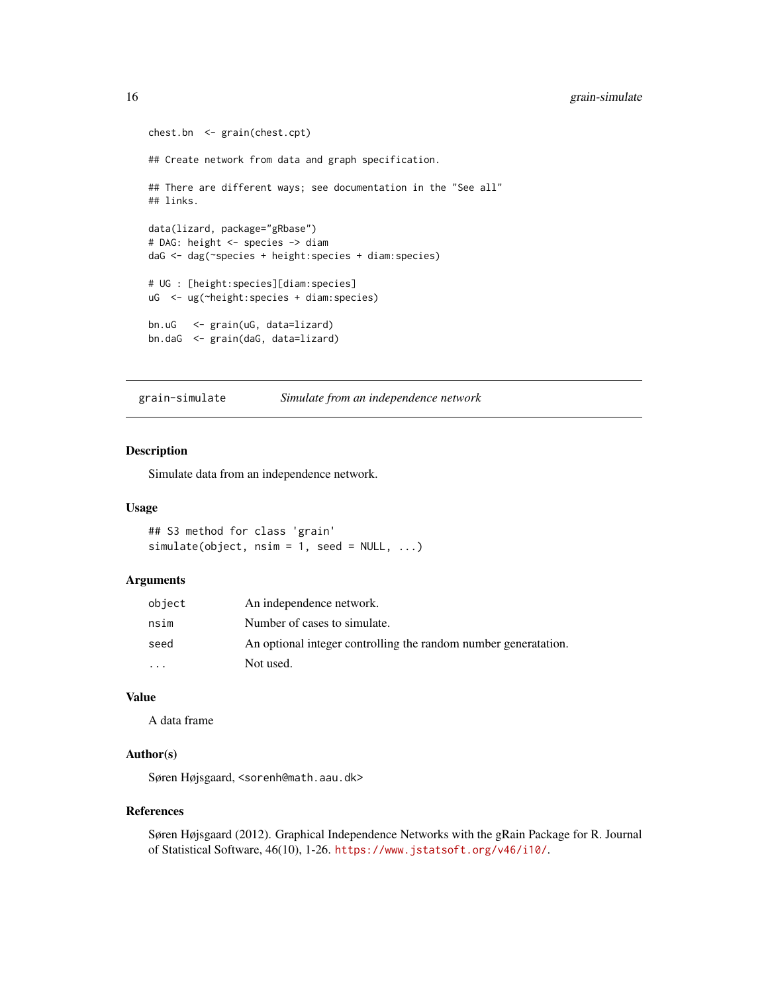```
chest.bn <- grain(chest.cpt)
## Create network from data and graph specification.
## There are different ways; see documentation in the "See all"
## links.
data(lizard, package="gRbase")
# DAG: height <- species -> diam
daG <- dag(~species + height:species + diam:species)
# UG : [height:species][diam:species]
uG <- ug(~height:species + diam:species)
bn.uG <- grain(uG, data=lizard)
bn.daG <- grain(daG, data=lizard)
```
grain-simulate *Simulate from an independence network*

#### Description

Simulate data from an independence network.

#### Usage

```
## S3 method for class 'grain'
simulate(object, nsim = 1, seed = NULL, ...)
```
#### Arguments

| object    | An independence network.                                        |
|-----------|-----------------------------------------------------------------|
| nsim      | Number of cases to simulate.                                    |
| seed      | An optional integer controlling the random number generatation. |
| $\ddotsc$ | Not used.                                                       |

## Value

A data frame

#### Author(s)

Søren Højsgaard, <sorenh@math.aau.dk>

## References

Søren Højsgaard (2012). Graphical Independence Networks with the gRain Package for R. Journal of Statistical Software, 46(10), 1-26. <https://www.jstatsoft.org/v46/i10/>.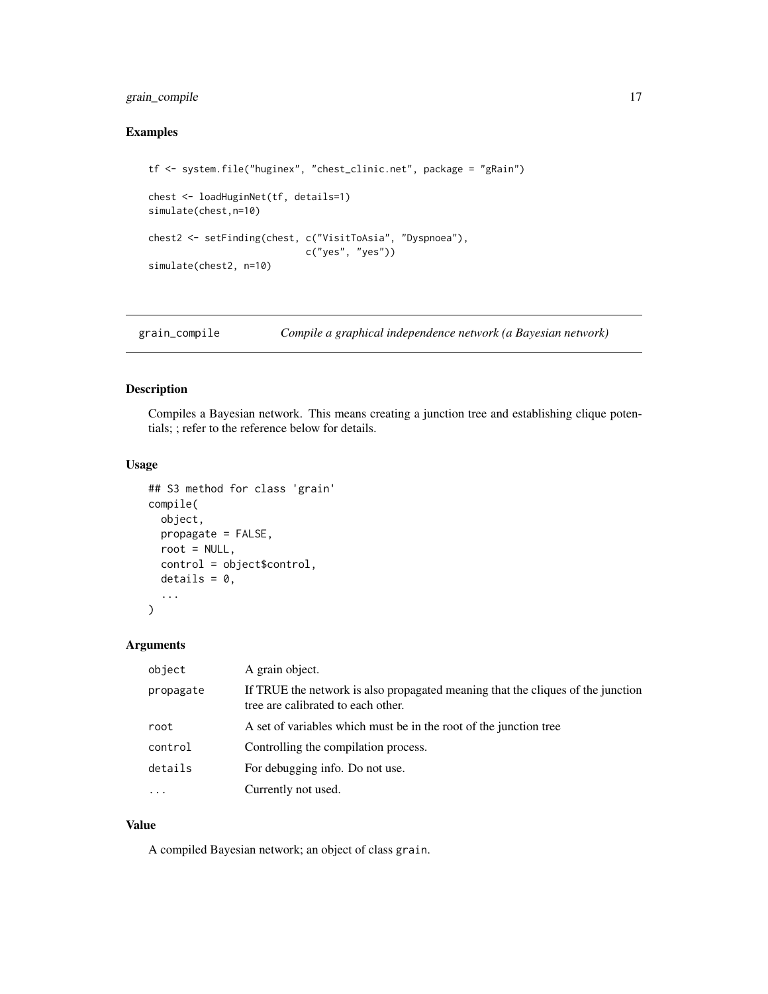## <span id="page-16-0"></span>grain\_compile 17

## Examples

```
tf <- system.file("huginex", "chest_clinic.net", package = "gRain")
chest <- loadHuginNet(tf, details=1)
simulate(chest,n=10)
chest2 <- setFinding(chest, c("VisitToAsia", "Dyspnoea"),
                            c("yes", "yes"))
simulate(chest2, n=10)
```
grain\_compile *Compile a graphical independence network (a Bayesian network)*

## <span id="page-16-1"></span>Description

Compiles a Bayesian network. This means creating a junction tree and establishing clique potentials; ; refer to the reference below for details.

## Usage

```
## S3 method for class 'grain'
compile(
 object,
 propagate = FALSE,
 root = NULL,
 control = object$control,
 details = 0,...
\mathcal{L}
```
## Arguments

| object    | A grain object.                                                                                                       |
|-----------|-----------------------------------------------------------------------------------------------------------------------|
| propagate | If TRUE the network is also propagated meaning that the cliques of the junction<br>tree are calibrated to each other. |
| root      | A set of variables which must be in the root of the junction tree                                                     |
| control   | Controlling the compilation process.                                                                                  |
| details   | For debugging info. Do not use.                                                                                       |
| $\cdots$  | Currently not used.                                                                                                   |

#### Value

A compiled Bayesian network; an object of class grain.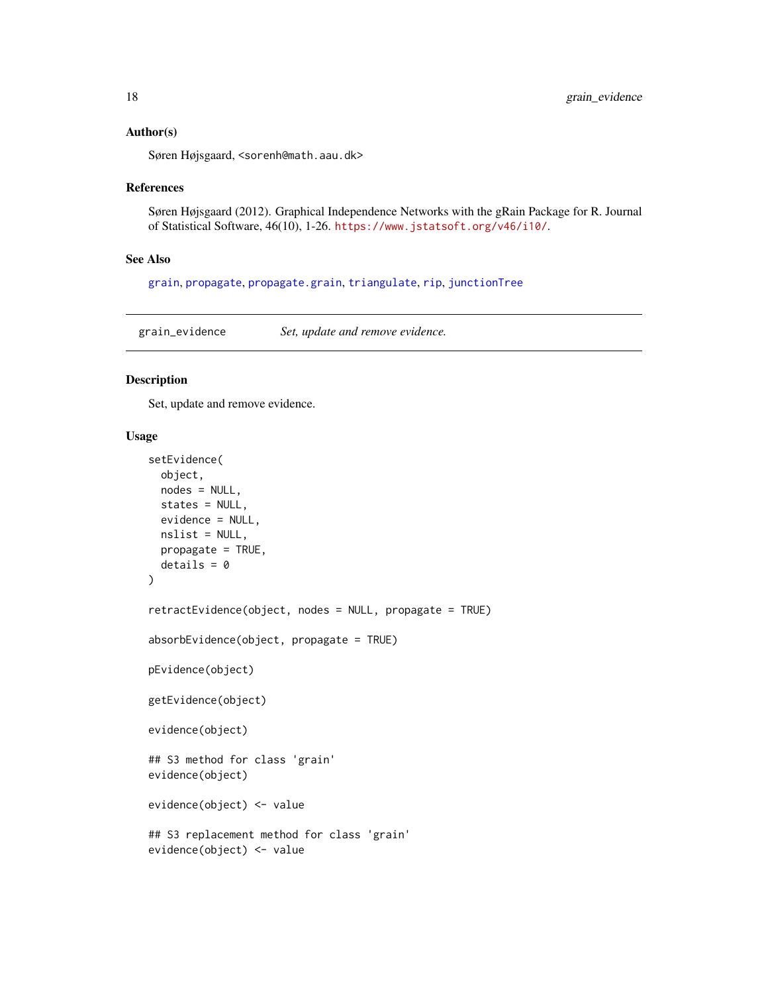#### <span id="page-17-0"></span>Author(s)

Søren Højsgaard, <sorenh@math.aau.dk>

#### References

Søren Højsgaard (2012). Graphical Independence Networks with the gRain Package for R. Journal of Statistical Software, 46(10), 1-26. <https://www.jstatsoft.org/v46/i10/>.

#### See Also

[grain](#page-13-1), [propagate](#page-0-0), [propagate.grain](#page-22-1), [triangulate](#page-0-0), [rip](#page-0-0), [junctionTree](#page-0-0)

grain\_evidence *Set, update and remove evidence.*

## <span id="page-17-1"></span>Description

Set, update and remove evidence.

#### Usage

```
setEvidence(
 object,
  nodes = NULL,
  states = NULL,
 evidence = NULL,
 nslist = NULL,
  propagate = TRUE,
 details = 0\lambdaretractEvidence(object, nodes = NULL, propagate = TRUE)
absorbEvidence(object, propagate = TRUE)
pEvidence(object)
getEvidence(object)
evidence(object)
## S3 method for class 'grain'
evidence(object)
evidence(object) <- value
## S3 replacement method for class 'grain'
evidence(object) <- value
```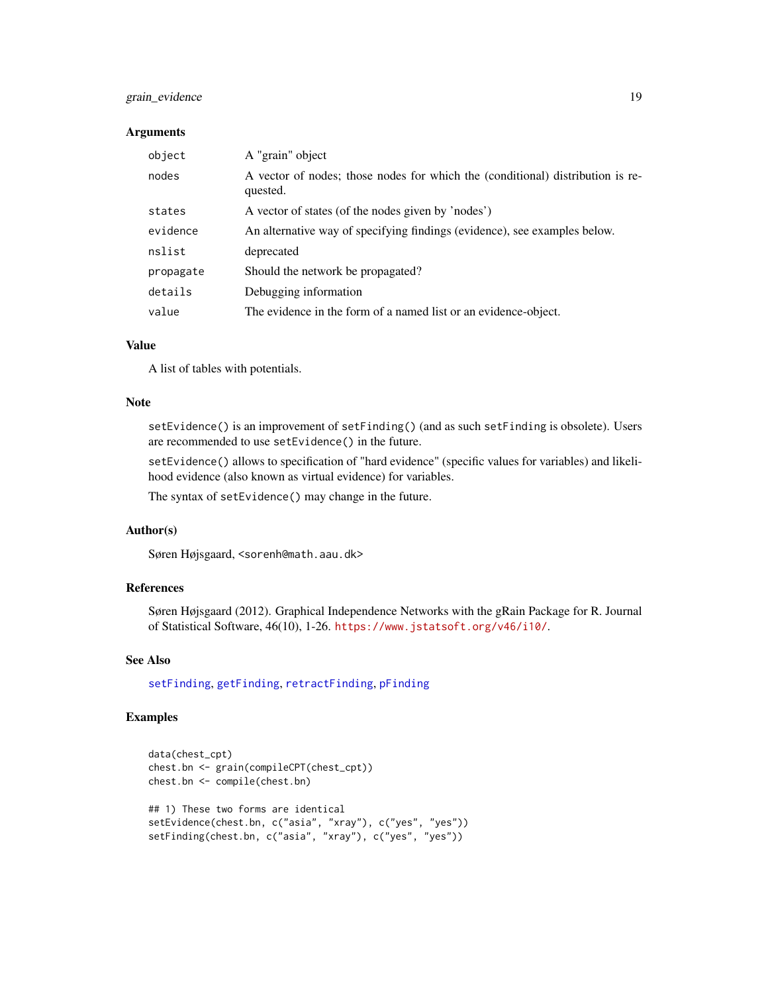## <span id="page-18-0"></span>grain\_evidence 19

## **Arguments**

| object    | A "grain" object                                                                           |
|-----------|--------------------------------------------------------------------------------------------|
| nodes     | A vector of nodes; those nodes for which the (conditional) distribution is re-<br>quested. |
| states    | A vector of states (of the nodes given by 'nodes')                                         |
| evidence  | An alternative way of specifying findings (evidence), see examples below.                  |
| nslist    | deprecated                                                                                 |
| propagate | Should the network be propagated?                                                          |
| details   | Debugging information                                                                      |
| value     | The evidence in the form of a named list or an evidence-object.                            |

## Value

A list of tables with potentials.

## Note

setEvidence() is an improvement of setFinding() (and as such setFinding is obsolete). Users are recommended to use setEvidence() in the future.

setEvidence() allows to specification of "hard evidence" (specific values for variables) and likelihood evidence (also known as virtual evidence) for variables.

The syntax of setEvidence() may change in the future.

## Author(s)

Søren Højsgaard, <sorenh@math.aau.dk>

## References

Søren Højsgaard (2012). Graphical Independence Networks with the gRain Package for R. Journal of Statistical Software, 46(10), 1-26. <https://www.jstatsoft.org/v46/i10/>.

## See Also

[setFinding](#page-10-1), [getFinding](#page-10-1), [retractFinding](#page-10-1), [pFinding](#page-10-1)

```
data(chest_cpt)
chest.bn <- grain(compileCPT(chest_cpt))
chest.bn <- compile(chest.bn)
## 1) These two forms are identical
setEvidence(chest.bn, c("asia", "xray"), c("yes", "yes"))
setFinding(chest.bn, c("asia", "xray"), c("yes", "yes"))
```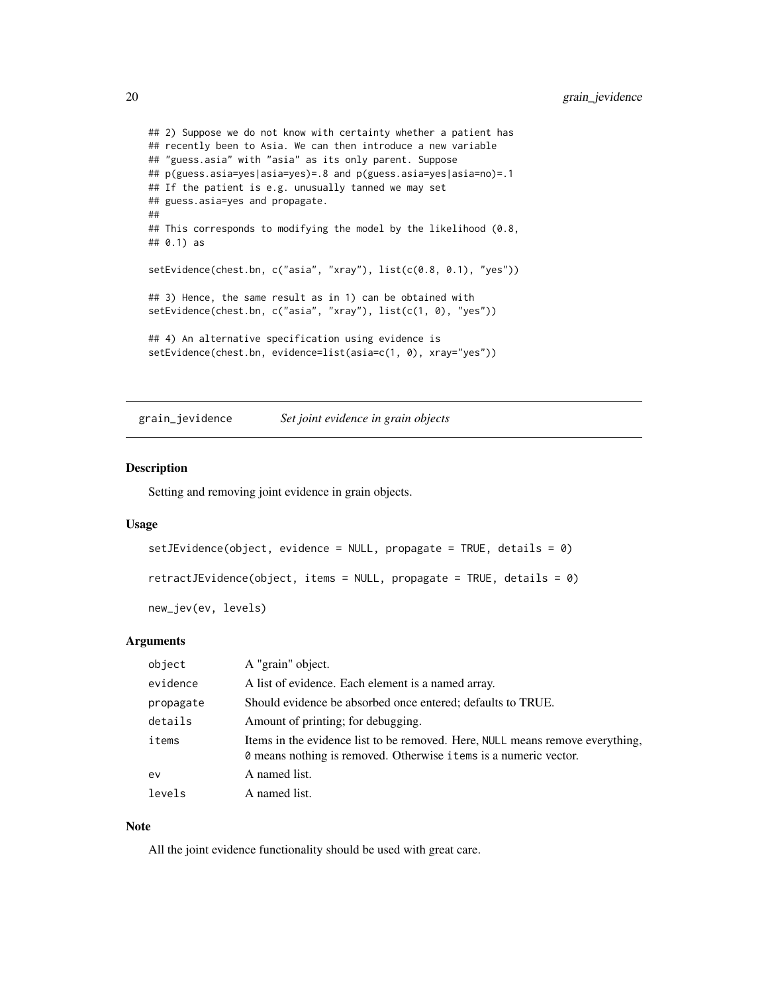```
## 2) Suppose we do not know with certainty whether a patient has
## recently been to Asia. We can then introduce a new variable
## "guess.asia" with "asia" as its only parent. Suppose
## p(guess.asia=yes|asia=yes)=.8 and p(guess.asia=yes|asia=no)=.1
## If the patient is e.g. unusually tanned we may set
## guess.asia=yes and propagate.
##
## This corresponds to modifying the model by the likelihood (0.8,
## 0.1) as
setEvidence(chest.bn, c("asia", "xray"), list(c(0.8, 0.1), "yes"))
## 3) Hence, the same result as in 1) can be obtained with
setEvidence(chest.bn, c("asia", "xray"), list(c(1, 0), "yes"))
## 4) An alternative specification using evidence is
setEvidence(chest.bn, evidence=list(asia=c(1, 0), xray="yes"))
```
grain\_jevidence *Set joint evidence in grain objects*

## Description

Setting and removing joint evidence in grain objects.

#### Usage

```
setJEvidence(object, evidence = NULL, propagate = TRUE, details = \theta)
```
retractJEvidence(object, items = NULL, propagate = TRUE, details = 0)

new\_jev(ev, levels)

## Arguments

| object    | A "grain" object.                                                                                                                                 |
|-----------|---------------------------------------------------------------------------------------------------------------------------------------------------|
| evidence  | A list of evidence. Each element is a named array.                                                                                                |
| propagate | Should evidence be absorbed once entered; defaults to TRUE.                                                                                       |
| details   | Amount of printing; for debugging.                                                                                                                |
| items     | Items in the evidence list to be removed. Here, NULL means remove everything,<br>O means nothing is removed. Otherwise items is a numeric vector. |
| ev        | A named list.                                                                                                                                     |
| levels    | A named list.                                                                                                                                     |

### Note

All the joint evidence functionality should be used with great care.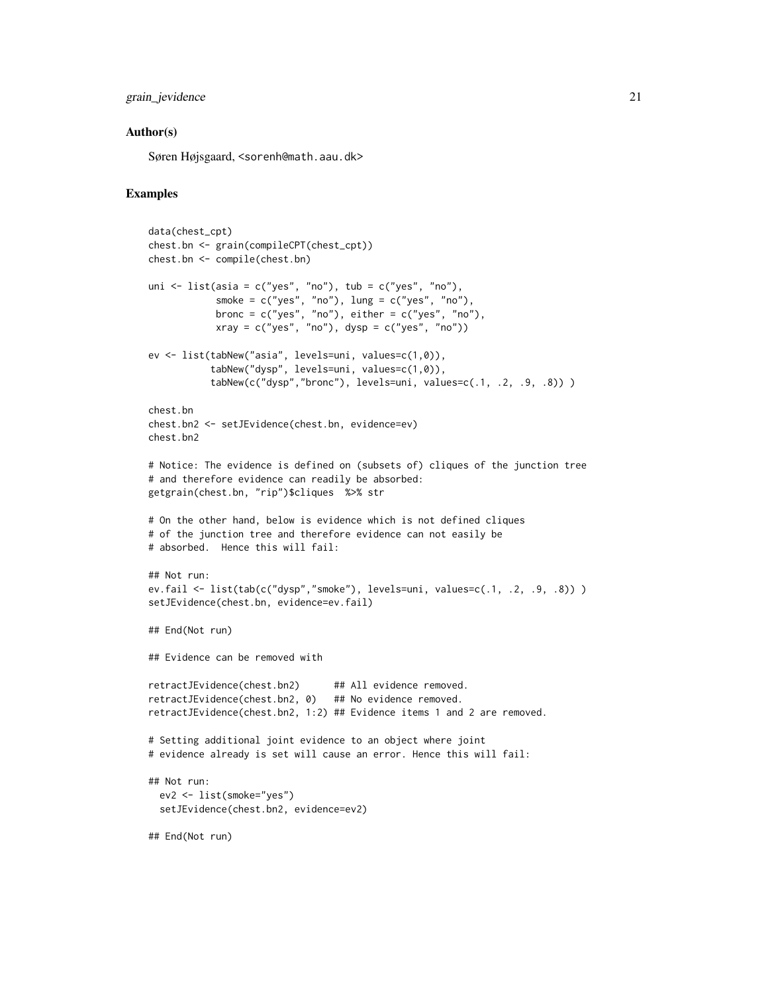## grain\_jevidence 21

## Author(s)

Søren Højsgaard, <sorenh@math.aau.dk>

```
data(chest_cpt)
chest.bn <- grain(compileCPT(chest_cpt))
chest.bn <- compile(chest.bn)
uni \le list(asia = c("yes", "no"), tub = c("yes", "no"),
            smoke = c("yes", "no"), lung = c("yes", "no"),
            bronc = c("yes", "no"), either = c("yes", "no"),
            xray = c("yes", "no"), dysp = c("yes", "no")ev <- list(tabNew("asia", levels=uni, values=c(1,0)),
           tabNew("dysp", levels=uni, values=c(1,0)),
           tabNew(c("dysp","bronc"), levels=uni, values=c(.1, .2, .9, .8)) )
chest.bn
chest.bn2 <- setJEvidence(chest.bn, evidence=ev)
chest.bn2
# Notice: The evidence is defined on (subsets of) cliques of the junction tree
# and therefore evidence can readily be absorbed:
getgrain(chest.bn, "rip")$cliques %>% str
# On the other hand, below is evidence which is not defined cliques
# of the junction tree and therefore evidence can not easily be
# absorbed. Hence this will fail:
## Not run:
ev.fail <- list(tab(c("dysp","smoke"), levels=uni, values=c(.1, .2, .9, .8)) )
setJEvidence(chest.bn, evidence=ev.fail)
## End(Not run)
## Evidence can be removed with
retractJEvidence(chest.bn2) ## All evidence removed.
retractJEvidence(chest.bn2, 0) ## No evidence removed.
retractJEvidence(chest.bn2, 1:2) ## Evidence items 1 and 2 are removed.
# Setting additional joint evidence to an object where joint
# evidence already is set will cause an error. Hence this will fail:
## Not run:
  ev2 <- list(smoke="yes")
  setJEvidence(chest.bn2, evidence=ev2)
## End(Not run)
```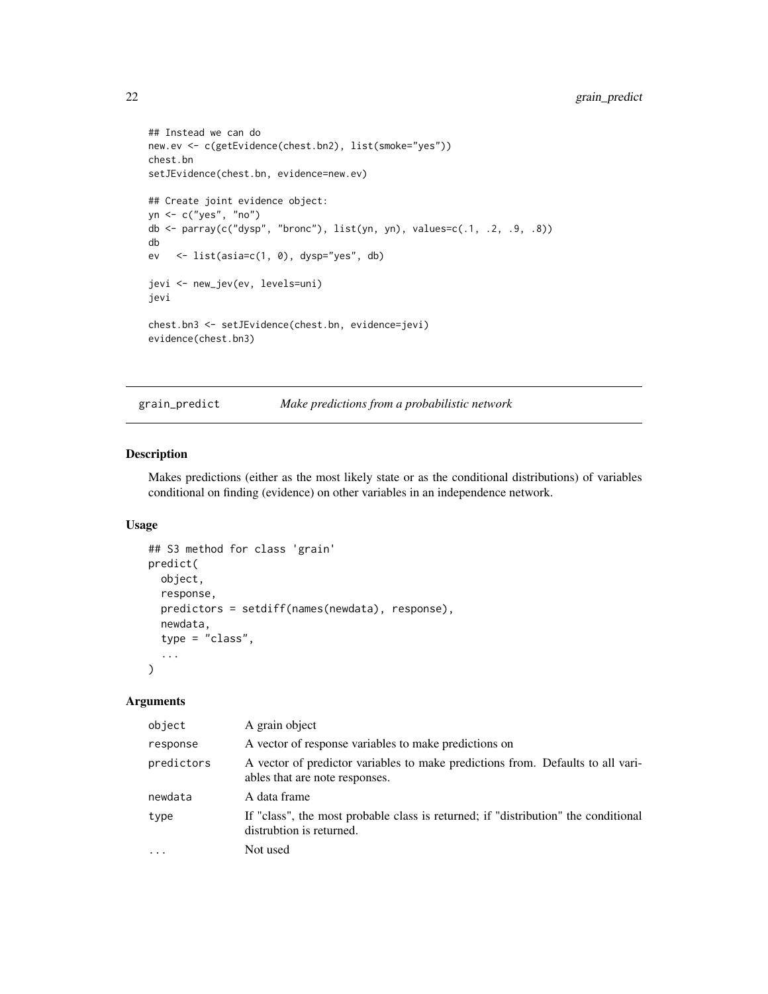```
## Instead we can do
new.ev <- c(getEvidence(chest.bn2), list(smoke="yes"))
chest.bn
setJEvidence(chest.bn, evidence=new.ev)
## Create joint evidence object:
yn <- c("yes", "no")
db <- parray(c("dysp", "bronc"), list(yn, yn), values=c(.1, .2, .9, .8))
db
ev <- list(asia=c(1, 0), dysp="yes", db)
jevi <- new_jev(ev, levels=uni)
jevi
chest.bn3 <- setJEvidence(chest.bn, evidence=jevi)
evidence(chest.bn3)
```
grain\_predict *Make predictions from a probabilistic network*

## Description

Makes predictions (either as the most likely state or as the conditional distributions) of variables conditional on finding (evidence) on other variables in an independence network.

## Usage

```
## S3 method for class 'grain'
predict(
 object,
  response,
  predictors = setdiff(names(newdata), response),
  newdata,
  type = "class",
  ...
)
```
## Arguments

| object     | A grain object                                                                                                    |
|------------|-------------------------------------------------------------------------------------------------------------------|
| response   | A vector of response variables to make predictions on                                                             |
| predictors | A vector of predictor variables to make predictions from. Defaults to all vari-<br>ables that are note responses. |
| newdata    | A data frame                                                                                                      |
| type       | If "class", the most probable class is returned; if "distribution" the conditional<br>distrubtion is returned.    |
| .          | Not used                                                                                                          |

<span id="page-21-0"></span>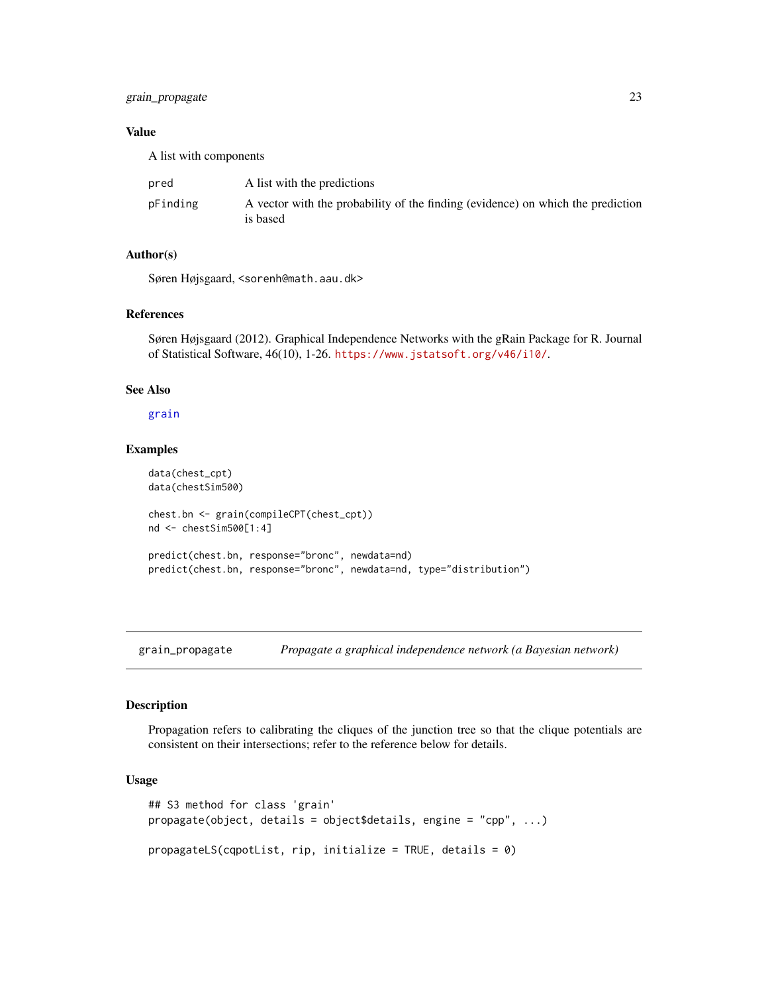## <span id="page-22-0"></span>grain\_propagate 23

## Value

A list with components

| pred     | A list with the predictions                                                                 |
|----------|---------------------------------------------------------------------------------------------|
| pFinding | A vector with the probability of the finding (evidence) on which the prediction<br>is based |

## Author(s)

Søren Højsgaard, <sorenh@math.aau.dk>

#### References

Søren Højsgaard (2012). Graphical Independence Networks with the gRain Package for R. Journal of Statistical Software, 46(10), 1-26. <https://www.jstatsoft.org/v46/i10/>.

## See Also

[grain](#page-13-1)

## Examples

```
data(chest_cpt)
data(chestSim500)
chest.bn <- grain(compileCPT(chest_cpt))
nd <- chestSim500[1:4]
predict(chest.bn, response="bronc", newdata=nd)
predict(chest.bn, response="bronc", newdata=nd, type="distribution")
```
grain\_propagate *Propagate a graphical independence network (a Bayesian network)*

#### <span id="page-22-1"></span>Description

Propagation refers to calibrating the cliques of the junction tree so that the clique potentials are consistent on their intersections; refer to the reference below for details.

## Usage

```
## S3 method for class 'grain'
propagate(object, details = object$details, engine = "cpp", ...)
propagateLS(cqpotList, rip, initialize = TRUE, details = 0)
```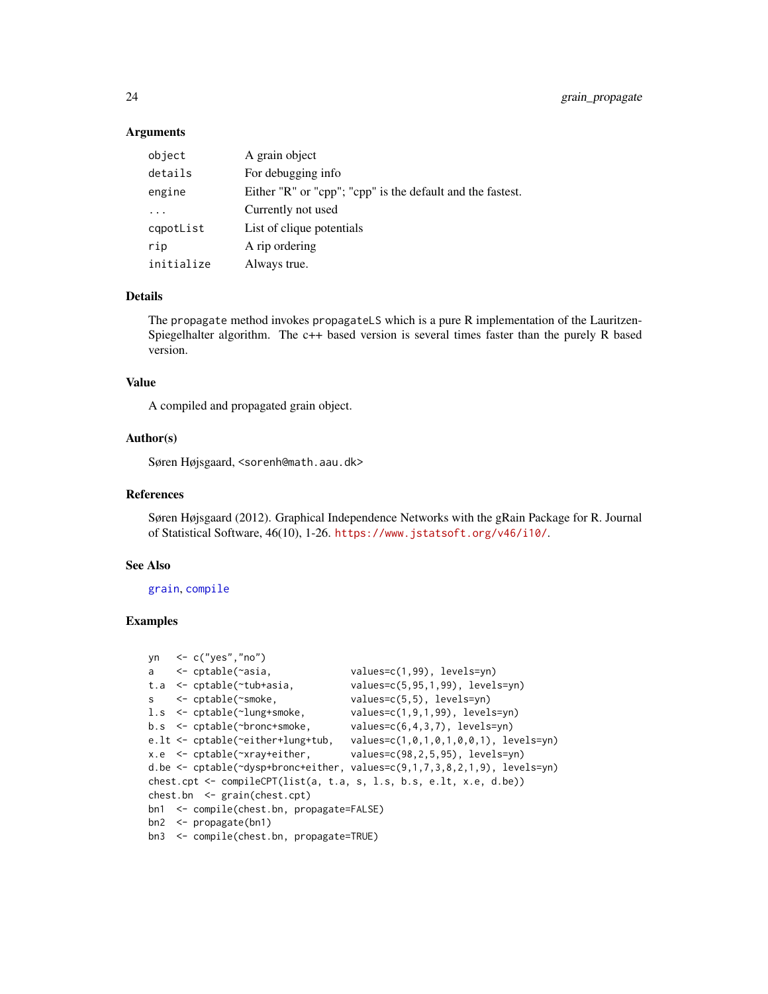## Arguments

| object     | A grain object                                             |
|------------|------------------------------------------------------------|
| details    | For debugging info                                         |
| engine     | Either "R" or "cpp"; "cpp" is the default and the fastest. |
|            | Currently not used                                         |
| cqpotList  | List of clique potentials                                  |
| rip        | A rip ordering                                             |
| initialize | Always true.                                               |

## Details

The propagate method invokes propagateLS which is a pure R implementation of the Lauritzen-Spiegelhalter algorithm. The c++ based version is several times faster than the purely R based version.

## Value

A compiled and propagated grain object.

## Author(s)

Søren Højsgaard, <sorenh@math.aau.dk>

#### References

Søren Højsgaard (2012). Graphical Independence Networks with the gRain Package for R. Journal of Statistical Software, 46(10), 1-26. <https://www.jstatsoft.org/v46/i10/>.

## See Also

[grain](#page-13-1), [compile](#page-0-0)

```
yn <- c("yes","no")
a <- cptable(~asia, values=c(1,99), levels=yn)
t.a <- cptable(~tub+asia, values=c(5,95,1,99), levels=yn)
s <- cptable(~smoke, values=c(5,5), levels=yn)
l.s <- cptable(~lung+smoke, values=c(1,9,1,99), levels=yn)
b.s <- cptable(~bronc+smoke, values=c(6,4,3,7), levels=yn)
e.lt <- cptable(~either+lung+tub, values=c(1,0,1,0,1,0,0,1), levels=yn)
x.e <- cptable(~xray+either, values=c(98,2,5,95), levels=yn)
d.be <- cptable(~dysp+bronc+either, values=c(9,1,7,3,8,2,1,9), levels=yn)
chest.cpt <- compileCPT(list(a, t.a, s, l.s, b.s, e.lt, x.e, d.be))
chest.bn <- grain(chest.cpt)
bn1 <- compile(chest.bn, propagate=FALSE)
bn2 <- propagate(bn1)
bn3 <- compile(chest.bn, propagate=TRUE)
```
<span id="page-23-0"></span>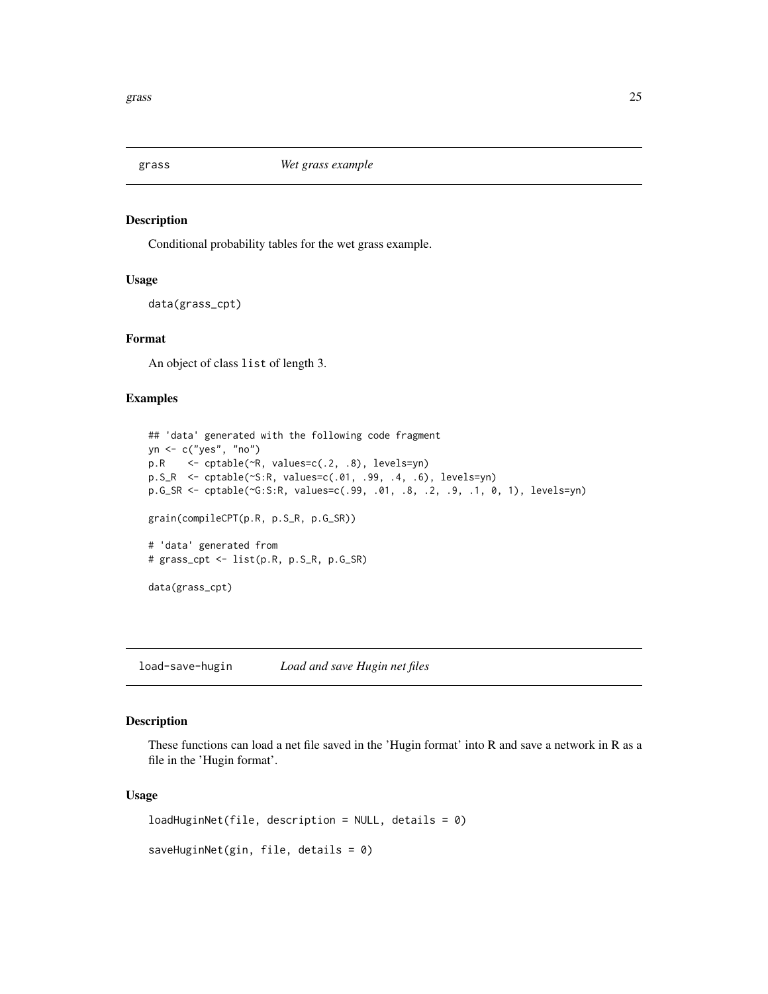<span id="page-24-0"></span>

## Description

Conditional probability tables for the wet grass example.

#### Usage

data(grass\_cpt)

## Format

An object of class list of length 3.

## Examples

```
## 'data' generated with the following code fragment
yn <- c("yes", "no")
p.R <- cptable(~R, values=c(.2, .8), levels=yn)
p.S_R <- cptable(~S:R, values=c(.01, .99, .4, .6), levels=yn)
p.G_SR <- cptable(~G:S:R, values=c(.99, .01, .8, .2, .9, .1, 0, 1), levels=yn)
grain(compileCPT(p.R, p.S_R, p.G_SR))
# 'data' generated from
# grass_cpt <- list(p.R, p.S_R, p.G_SR)
data(grass_cpt)
```
load-save-hugin *Load and save Hugin net files*

## Description

These functions can load a net file saved in the 'Hugin format' into R and save a network in R as a file in the 'Hugin format'.

#### Usage

```
loadHuginNet(file, description = NULL, details = 0)
saveHuginNet(gin, file, details = 0)
```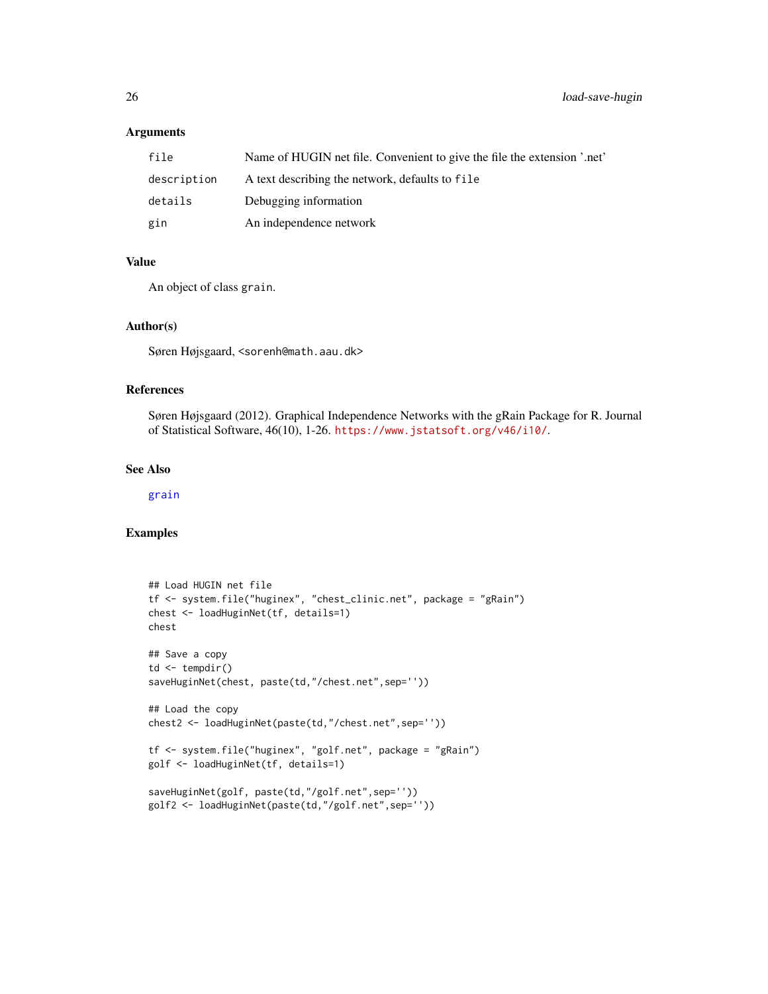## Arguments

| file        | Name of HUGIN net file. Convenient to give the file the extension '.net' |
|-------------|--------------------------------------------------------------------------|
| description | A text describing the network, defaults to file                          |
| details     | Debugging information                                                    |
| gin         | An independence network                                                  |

## Value

An object of class grain.

## Author(s)

Søren Højsgaard, <sorenh@math.aau.dk>

#### References

Søren Højsgaard (2012). Graphical Independence Networks with the gRain Package for R. Journal of Statistical Software, 46(10), 1-26. <https://www.jstatsoft.org/v46/i10/>.

## See Also

[grain](#page-13-1)

```
## Load HUGIN net file
tf <- system.file("huginex", "chest_clinic.net", package = "gRain")
chest <- loadHuginNet(tf, details=1)
chest
## Save a copy
td \leftarrow tempdir()saveHuginNet(chest, paste(td,"/chest.net",sep=''))
## Load the copy
chest2 <- loadHuginNet(paste(td,"/chest.net",sep=''))
tf <- system.file("huginex", "golf.net", package = "gRain")
golf <- loadHuginNet(tf, details=1)
saveHuginNet(golf, paste(td,"/golf.net",sep=''))
golf2 <- loadHuginNet(paste(td,"/golf.net",sep=''))
```
<span id="page-25-0"></span>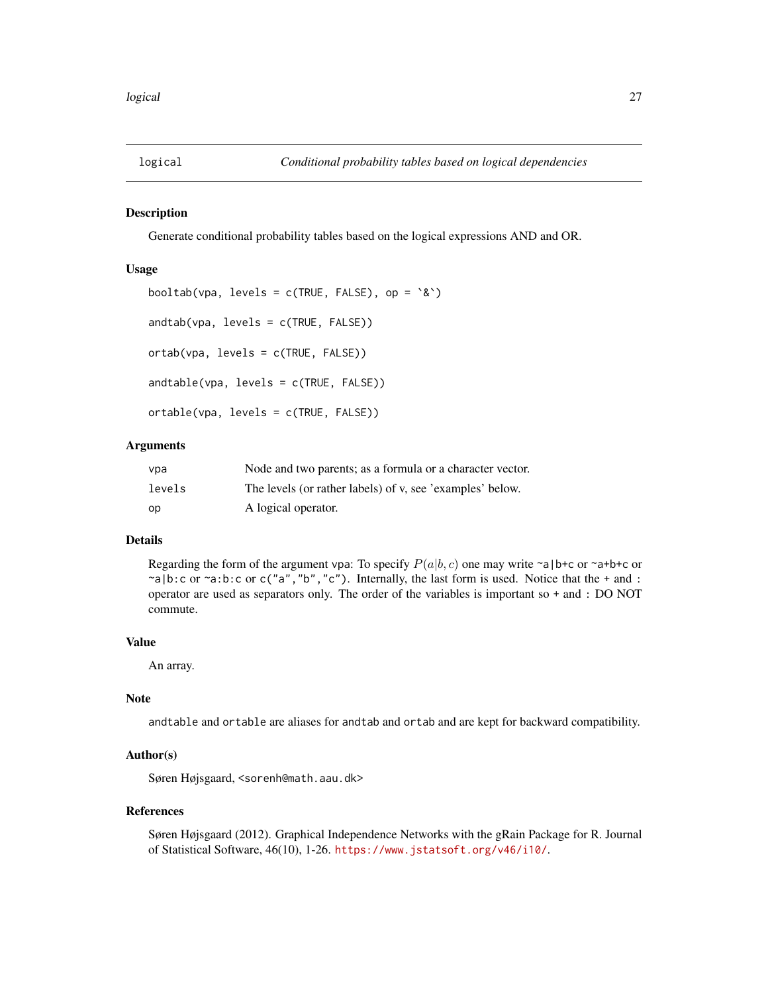<span id="page-26-0"></span>

#### <span id="page-26-1"></span>Description

Generate conditional probability tables based on the logical expressions AND and OR.

#### Usage

```
booltab(vpa, levels = c(TRUE, FALSE), op = \&)
andtab(vpa, levels = c(TRUE, FALSE))
ortab(vpa, levels = c(TRUE, FALSE))
andtable(vpa, levels = c(TRUE, FALSE))
ortable(vpa, levels = c(TRUE, FALSE))
```
## Arguments

| vpa    | Node and two parents; as a formula or a character vector. |
|--------|-----------------------------------------------------------|
| levels | The levels (or rather labels) of v, see 'examples' below. |
| op     | A logical operator.                                       |

## Details

Regarding the form of the argument vpa: To specify  $P(a|b, c)$  one may write ~a|b+c or ~a+b+c or  $\lceil \neg a \rceil b$ :c or  $\lceil \neg a \rceil b$ :c or c("a", "b", "c"). Internally, the last form is used. Notice that the + and : operator are used as separators only. The order of the variables is important so + and : DO NOT commute.

## Value

An array.

## Note

andtable and ortable are aliases for andtab and ortab and are kept for backward compatibility.

## Author(s)

Søren Højsgaard, <sorenh@math.aau.dk>

#### References

Søren Højsgaard (2012). Graphical Independence Networks with the gRain Package for R. Journal of Statistical Software, 46(10), 1-26. <https://www.jstatsoft.org/v46/i10/>.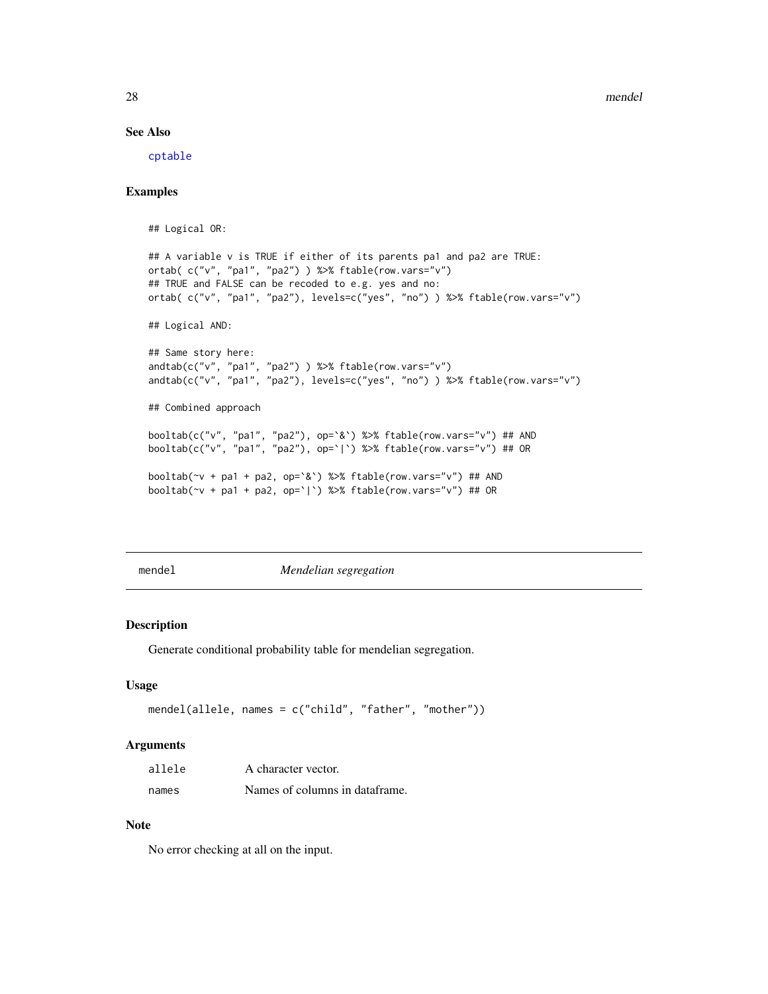28 mendel

## See Also

[cptable](#page-6-1)

## Examples

## Logical OR:

```
## A variable v is TRUE if either of its parents pa1 and pa2 are TRUE:
ortab( c("v", "pa1", "pa2") ) %>% ftable(row.vars="v")
## TRUE and FALSE can be recoded to e.g. yes and no:
ortab( c("v", "pa1", "pa2"), levels=c("yes", "no") ) %>% ftable(row.vars="v")
## Logical AND:
## Same story here:
andtab(c("v", "pa1", "pa2") ) %>% ftable(row.vars="v")
andtab(c("v", "pa1", "pa2"), levels=c("yes", "no") ) %>% ftable(row.vars="v")
## Combined approach
booltab(c("v", "pa1", "pa2"), op=`&`) %>% ftable(row.vars="v") ## AND
booltab(c("v", "pa1", "pa2"), op=`|`) %>% ftable(row.vars="v") ## OR
booltab(~v + pa1 + pa2, op=`&`) %>% ftable(row.vars="v") ## AND
booltab(~v + pa1 + pa2, op=`|`) %>% ftable(row.vars="v") ## OR
```
mendel *Mendelian segregation*

#### Description

Generate conditional probability table for mendelian segregation.

#### Usage

```
mendel(allele, names = c("child", "father", "mother"))
```
#### Arguments

| allele | A character vector.            |
|--------|--------------------------------|
| names  | Names of columns in dataframe. |

#### Note

No error checking at all on the input.

<span id="page-27-0"></span>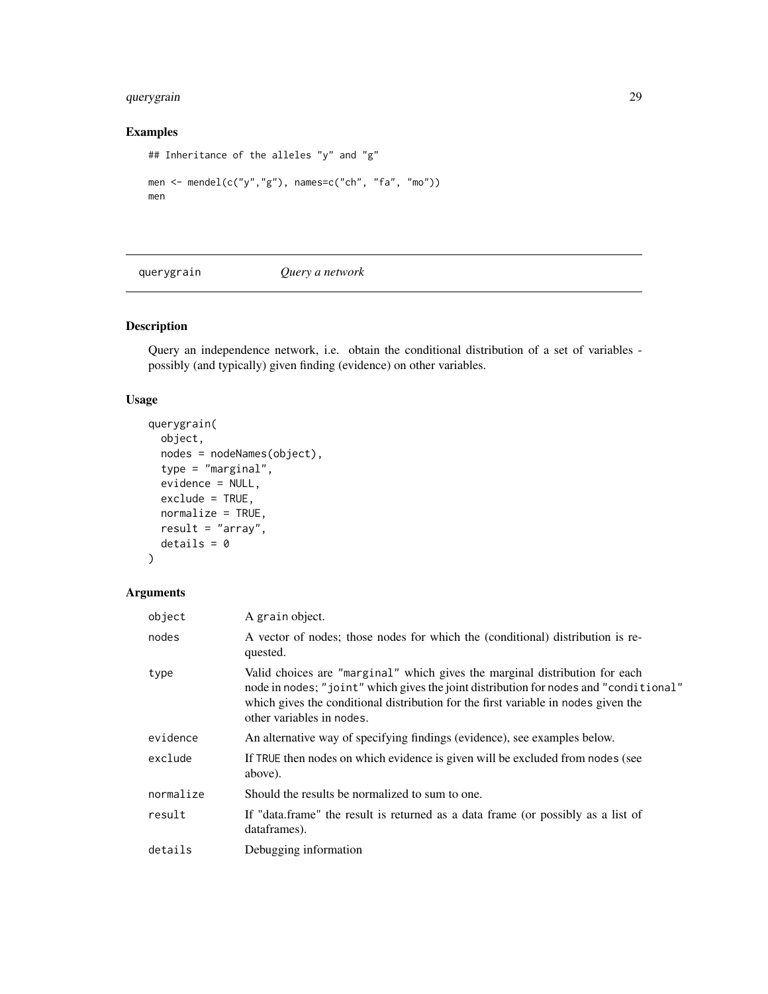## <span id="page-28-0"></span>querygrain 29

## Examples

```
## Inheritance of the alleles "y" and "g"
men <- mendel(c("y","g"), names=c("ch", "fa", "mo"))
men
```
<span id="page-28-1"></span>querygrain *Query a network*

## Description

Query an independence network, i.e. obtain the conditional distribution of a set of variables possibly (and typically) given finding (evidence) on other variables.

## Usage

```
querygrain(
 object,
 nodes = nodeNames(object),
  type = "marginal",
  evidence = NULL,
 exclude = TRUE,
 normalize = TRUE,
 result = "array",
 details = 0
)
```
## Arguments

| object    | A grain object.                                                                                                                                                                                                                                                                         |
|-----------|-----------------------------------------------------------------------------------------------------------------------------------------------------------------------------------------------------------------------------------------------------------------------------------------|
| nodes     | A vector of nodes; those nodes for which the (conditional) distribution is re-<br>quested.                                                                                                                                                                                              |
| type      | Valid choices are "marginal" which gives the marginal distribution for each<br>node in nodes; "joint" which gives the joint distribution for nodes and "conditional"<br>which gives the conditional distribution for the first variable in nodes given the<br>other variables in nodes. |
| evidence  | An alternative way of specifying findings (evidence), see examples below.                                                                                                                                                                                                               |
| exclude   | If TRUE then nodes on which evidence is given will be excluded from nodes (see<br>above).                                                                                                                                                                                               |
| normalize | Should the results be normalized to sum to one.                                                                                                                                                                                                                                         |
| result    | If "data.frame" the result is returned as a data frame (or possibly as a list of<br>dataframes).                                                                                                                                                                                        |
| details   | Debugging information                                                                                                                                                                                                                                                                   |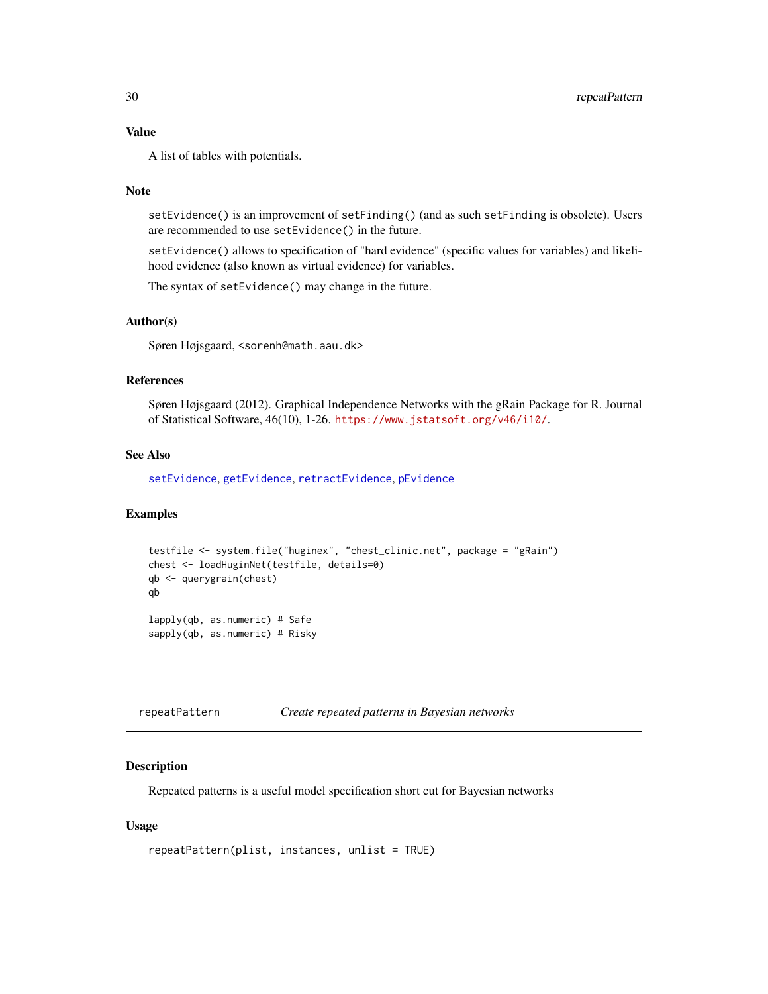## <span id="page-29-0"></span>Value

A list of tables with potentials.

#### Note

setEvidence() is an improvement of setFinding() (and as such setFinding is obsolete). Users are recommended to use setEvidence() in the future.

setEvidence() allows to specification of "hard evidence" (specific values for variables) and likelihood evidence (also known as virtual evidence) for variables.

The syntax of setEvidence() may change in the future.

## Author(s)

Søren Højsgaard, <sorenh@math.aau.dk>

## References

Søren Højsgaard (2012). Graphical Independence Networks with the gRain Package for R. Journal of Statistical Software, 46(10), 1-26. <https://www.jstatsoft.org/v46/i10/>.

## See Also

[setEvidence](#page-17-1), [getEvidence](#page-17-1), [retractEvidence](#page-17-1), [pEvidence](#page-17-1)

#### Examples

```
testfile <- system.file("huginex", "chest_clinic.net", package = "gRain")
chest <- loadHuginNet(testfile, details=0)
qb <- querygrain(chest)
qb
lapply(qb, as.numeric) # Safe
sapply(qb, as.numeric) # Risky
```
repeatPattern *Create repeated patterns in Bayesian networks*

## Description

Repeated patterns is a useful model specification short cut for Bayesian networks

## Usage

```
repeatPattern(plist, instances, unlist = TRUE)
```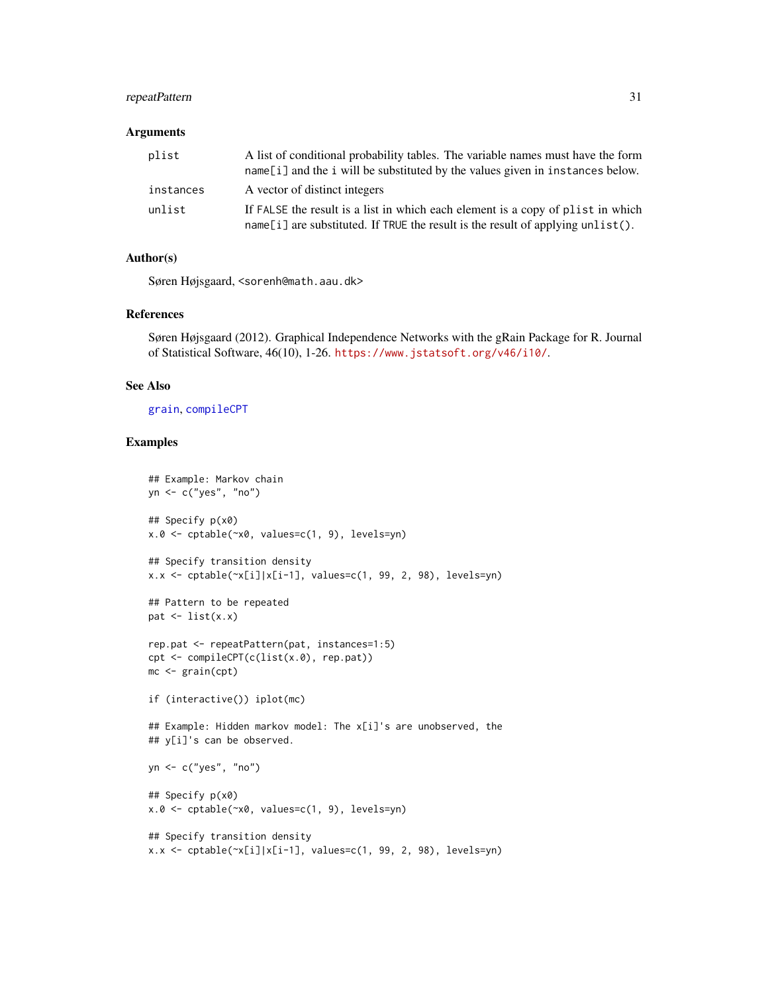## <span id="page-30-0"></span>repeatPattern 31

#### **Arguments**

| plist     | A list of conditional probability tables. The variable names must have the form<br>name[i] and the i will be substituted by the values given in instances below.   |
|-----------|--------------------------------------------------------------------------------------------------------------------------------------------------------------------|
| instances | A vector of distinct integers                                                                                                                                      |
| unlist    | If FALSE the result is a list in which each element is a copy of plist in which<br>name[i] are substituted. If TRUE the result is the result of applying unlist(). |

#### Author(s)

Søren Højsgaard, <sorenh@math.aau.dk>

#### References

Søren Højsgaard (2012). Graphical Independence Networks with the gRain Package for R. Journal of Statistical Software, 46(10), 1-26. <https://www.jstatsoft.org/v46/i10/>.

## See Also

[grain](#page-13-1), [compileCPT](#page-4-1)

```
## Example: Markov chain
yn <- c("yes", "no")
## Specify p(x0)
x.0 <- cptable(~x0, values=c(1, 9), levels=yn)
## Specify transition density
x.x \leftarrow \text{cptable}(\sim x[i]/x[i-1], \text{ values}=c(1, 99, 2, 98), \text{ levels}=yn)## Pattern to be repeated
pat \leftarrow list(x.x)rep.pat <- repeatPattern(pat, instances=1:5)
cpt <- compileCPT(c(list(x.0), rep.pat))
mc <- grain(cpt)
if (interactive()) iplot(mc)
## Example: Hidden markov model: The x[i]'s are unobserved, the
## y[i]'s can be observed.
yn <- c("yes", "no")
## Specify p(x0)
x.0 <- cptable(~x0, values=c(1, 9), levels=yn)
## Specify transition density
x.x \leftarrow \text{cptable}(\sim x[i]/x[i-1], \text{ values}=c(1, 99, 2, 98), \text{ levels}=yn)
```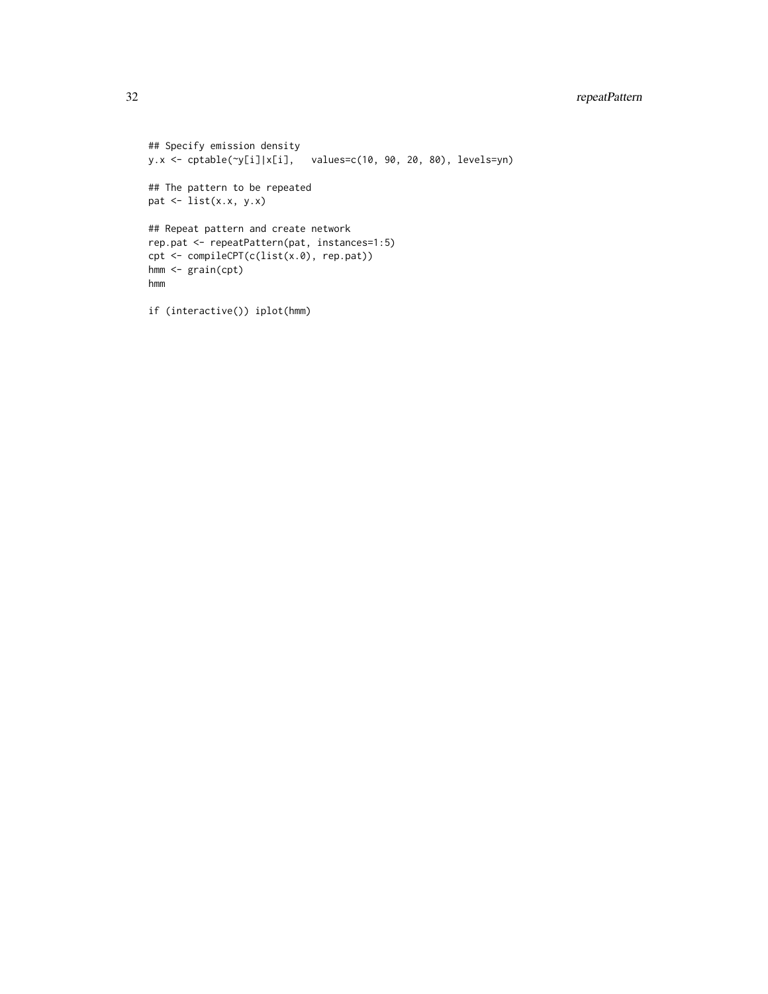```
## Specify emission density
y.x <- cptable(~y[i]|x[i], values=c(10, 90, 20, 80), levels=yn)
## The pattern to be repeated
pat \leq list(x.x, y.x)## Repeat pattern and create network
rep.pat <- repeatPattern(pat, instances=1:5)
cpt <- compileCPT(c(list(x.0), rep.pat))
hmm <- grain(cpt)
hmm
```

```
if (interactive()) iplot(hmm)
```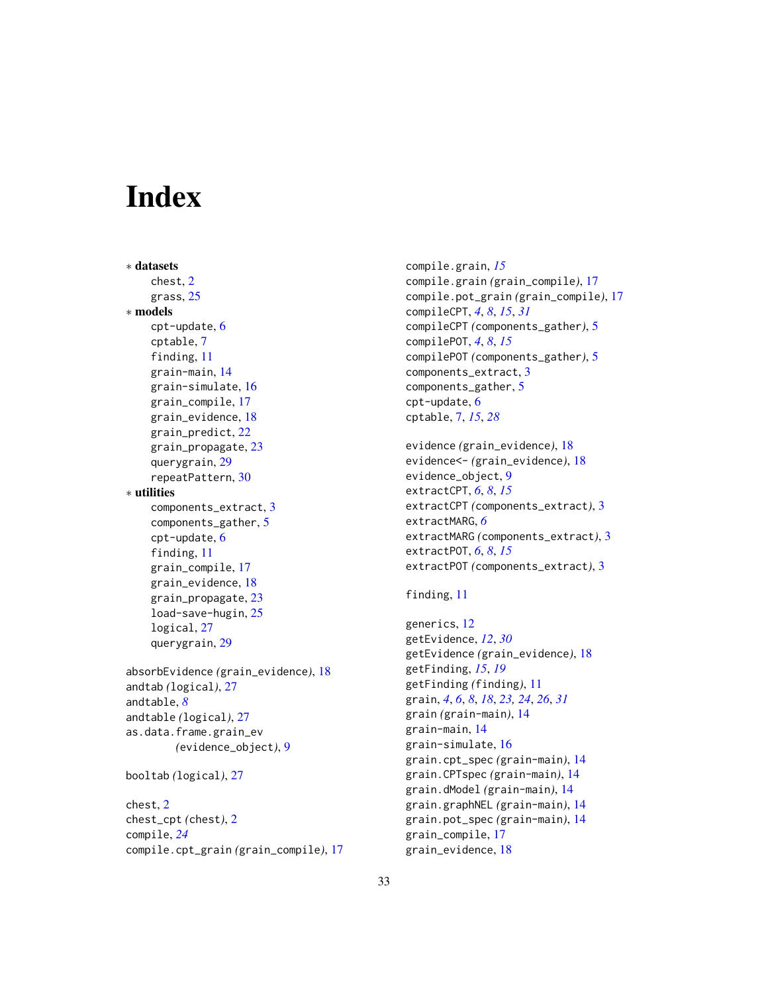# <span id="page-32-0"></span>**Index**

```
∗ datasets
    chest, 2
    grass, 25
∗ models
    cpt-update, 6
    cptable, 7
    finding, 11
    grain-main, 14
    grain-simulate, 16
    grain_compile, 17
    grain_evidence, 18
    grain_predict, 22
    grain_propagate, 23
    querygrain, 29
    repeatPattern, 30
∗ utilities
    components_extract, 3
    components_gather, 5
    cpt-update, 6
    finding, 11
    grain_compile, 17
    grain_evidence, 18
    grain_propagate, 23
    load-save-hugin, 25
    logical, 27
    querygrain, 29
absorbEvidence (grain_evidence), 18
andtab (logical), 27
andtable, 8
andtable (logical), 27
as.data.frame.grain_ev
        (evidence_object), 9
booltab (logical), 27
chest, 2
chest_cpt (chest), 2
compile, 24
```
compile.cpt\_grain *(*grain\_compile*)*, [17](#page-16-0)

compile.grain, *[15](#page-14-0)* compile.grain *(*grain\_compile*)*, [17](#page-16-0) compile.pot\_grain *(*grain\_compile*)*, [17](#page-16-0) compileCPT, *[4](#page-3-0)*, *[8](#page-7-0)*, *[15](#page-14-0)*, *[31](#page-30-0)* compileCPT *(*components\_gather*)*, [5](#page-4-0) compilePOT, *[4](#page-3-0)*, *[8](#page-7-0)*, *[15](#page-14-0)* compilePOT *(*components\_gather*)*, [5](#page-4-0) components\_extract, [3](#page-2-0) components\_gather, [5](#page-4-0) cpt-update, [6](#page-5-0) cptable, [7,](#page-6-0) *[15](#page-14-0)*, *[28](#page-27-0)*

```
evidence (grain_evidence), 18
evidence<- (grain_evidence), 18
evidence_object, 9
extractCPT, 6, 8, 15
extractCPT (components_extract), 3
extractMARG, 6
extractMARG (components_extract), 3
extractPOT, 6, 8, 15
extractPOT (components_extract), 3
```

```
finding, 11
```

```
generics, 12
getEvidence, 12, 30
getEvidence (grain_evidence), 18
getFinding, 15, 19
getFinding (finding), 11
grain, 4, 6, 8, 18, 23, 24, 26, 31
grain (grain-main), 14
grain-main, 14
grain-simulate, 16
grain.cpt_spec (grain-main), 14
grain.CPTspec (grain-main), 14
grain.dModel (grain-main), 14
grain.graphNEL (grain-main), 14
grain.pot_spec (grain-main), 14
grain_compile, 17
grain_evidence, 18
```